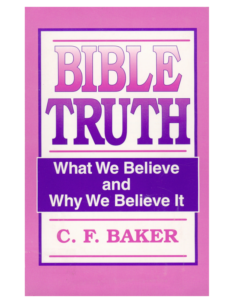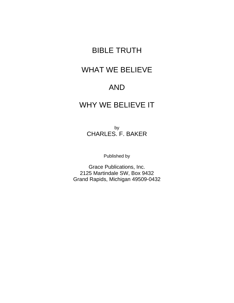# BIBLE TRUTH

# WHAT WE BELIEVE

# AND

# WHY WE BELIEVE IT

by CHARLES. F. BAKER

Published by

Grace Publications, Inc. 2125 Martindale SW, Box 9432 Grand Rapids, Michigan 49509-0432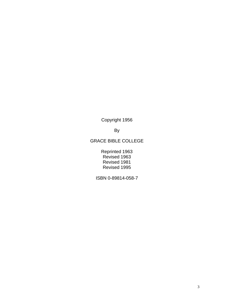Copyright 1956

By

#### GRACE BIBLE COLLEGE

Reprinted 1963 Revised 1963 Revised 1981 Revised 1995

ISBN 0-89814-058-7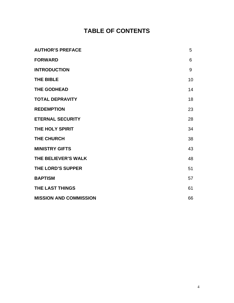# **TABLE OF CONTENTS**

| <b>AUTHOR'S PREFACE</b>       | 5  |
|-------------------------------|----|
| <b>FORWARD</b>                | 6  |
| <b>INTRODUCTION</b>           | 9  |
| <b>THE BIBLE</b>              | 10 |
| <b>THE GODHEAD</b>            | 14 |
| <b>TOTAL DEPRAVITY</b>        | 18 |
| <b>REDEMPTION</b>             | 23 |
| <b>ETERNAL SECURITY</b>       | 28 |
| THE HOLY SPIRIT               | 34 |
| <b>THE CHURCH</b>             | 38 |
| <b>MINISTRY GIFTS</b>         | 43 |
| THE BELIEVER'S WALK           | 48 |
| <b>THE LORD'S SUPPER</b>      | 51 |
| <b>BAPTISM</b>                | 57 |
| <b>THE LAST THINGS</b>        | 61 |
| <b>MISSION AND COMMISSION</b> | 66 |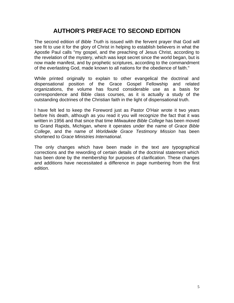# **AUTHOR'S PREFACE TO SECOND EDITION**

The second edition of *Bible Truth* is issued with the fervent prayer that God will see fit to use it for the glory of Christ in helping to establish believers in what the Apostle Paul calls "my gospel, and the preaching of Jesus Christ, according to the revelation of the mystery, which was kept secret since the world began, but is now made manifest, and by prophetic scriptures, according to the commandment of the everlasting God, made known to all nations for the obedience of faith."

While printed originally to explain to other evangelical the doctrinal and dispensational position of the Grace Gospel Fellowship and related organizations, the volume has found considerable use as a basis for correspondence and Bible class courses, as it is actually a study of the outstanding doctrines of the Christian faith in the light of dispensational truth.

I have felt led to keep the Foreword just as Pastor O'Hair wrote it two years before his death, although as you read it you will recognize the fact that it was written in 1956 and that since that time *Milwaukee Bible College* has been moved to Grand Rapids, Michigan, where it operates under the name of *Grace Bible College*, and the name of *Worldwide Grace Testimony Mission* has been shortened to *Grace Ministries International*.

The only changes which have been made in the text are typographical corrections and the rewording of certain details of the doctrinal statement which has been done by the membership for purposes of clarification. These changes and additions have necessitated a difference in page numbering from the first edition.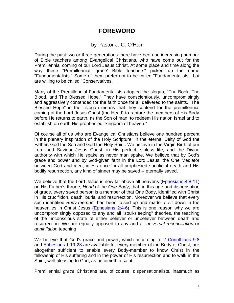## **FOREWORD**

#### by Pastor J. C. O'Hair

During the past two or three generations there have been an increasing number of Bible teachers among Evangelical Christians, who have come out for the Premillennial coming of our Lord Jesus Christ. At some place and time along the way these "Premillennial 'grace' Bible teachers" picked up the name "Fundamentalists." Some of them prefer not to be called "Fundamentalists," but are willing to be called "Conservatives."

Many of the Premillennial Fundamentalists adopted the slogan, "The Book, The Blood, and The Blessed Hope." They have conscientiously, uncompromisingly and aggressively contended for the faith once for all delivered to the saints. "The Blessed Hope" in their slogan means that they contend for the premillennial coming of the Lord Jesus Christ (the Head) to rapture the members of His Body before He returns to earth, as the Son of man, to redeem His nation Israel and to establish on earth His prophesied "kingdom of heaven."

Of course all of us who are Evangelical Christians believe one hundred percent in the plenary inspiration of the Holy Scripture, in the eternal Deity of God the Father, God the Son and God the Holy Spirit. We believe in the Virgin Birth of our Lord and Saviour Jesus Christ, in His perfect, sinless life, and the Divine authority with which He spake as never man spake. We believe that by God's grace and power and by God-given faith in the Lord Jesus, the One Mediator between God and men, in His once-for-all prophesied sacrificial death and His bodily resurrection, any kind of sinner may be saved -- eternally saved.

We believe that the Lord Jesus is now far above all heavens (Ephesians 4:8-11) on His Father's throne, *Head* of the *One Body*; that, in this age and dispensation of grace, every saved person is a member of that One Body, identified with Christ in His crucifixion, death, burial and resurrection. Moreover we believe that every such identified *Body-member* has been raised up and made to sit down in the heavenlies in Christ Jesus (Ephesians 2:4-6). This is one reason why we are uncompromisingly opposed to any and all "soul-sleeping" theories, the teaching of the unconscious state of either believer or unbeliever between death and resurrection. We are equally opposed to any and all *universal reconciliation* or *annihilation* teaching.

We believe that God's grace and power, which according to 2 Corinthians 9:8 and Ephesians 1:19-23 are available for every member of the Body of Christ, are altogether sufficient to enable every Body-member to know Christ in the fellowship of His suffering and in the power of His resurrection and to walk in the Spirit, well pleasing to God, as becometh a saint.

Premillennial *grace* Christians are, of course, dispensationalists, inasmuch as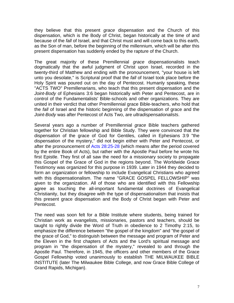they believe that this present *grace* dispensation and the Church of this dispensation, which is the Body of Christ, began historically at the time of and because of the *fall* of Israel, and that Christ must and will come back to this earth, as the Son of man, before the beginning of the millennium, which will be after this present dispensation has suddenly ended by the rapture of the Church.

The great majority of these Premillennial *grace* dispensationalists teach dogmatically that the awful judgment of Christ upon Israel, recorded in the twenty-third of Matthew and ending with the pronouncement, "your house is left unto you desolate," is Scriptural proof that the *fall* of Israel took place before the Holy Spirit was poured out on the day of Pentecost. Humanly speaking, these "ACTS TWO" Premillenarians, who teach that this present dispensation and the *Joint*-*Body* of Ephesians 3:6 began historically with Peter and Pentecost, are in control of the Fundamentalists' Bible-schools and other organizations. They are united in their verdict that other Premillennial grace Bible-teachers, who hold that the *fall* of Israel and the historic beginning of the dispensation of grace and the *Joint-Body* was after Pentecost of Acts Two, are *ultradispensationalists*.

Several years ago a number of Premillennial *grace* Bible teachers gathered together for Christian fellowship and Bible Study. They were convinced that the dispensation of the grace of God for Gentiles, called in Ephesians 3:9 "the dispensation of the mystery," did not begin either with Peter and Pentecost, or after the pronouncement of Acts 28:25-28 (which means after the period covered by the entire Book of Acts), but rather with the Apostle Paul before he wrote his first Epistle. They first of all saw the need for a missionary society to propagate this Gospel of the Grace of God in the regions beyond. The Worldwide Grace Testimony was organized for this purpose in 1939. Later in 1944 they decided to form an organization or fellowship to include Evangelical Christians who agreed with this dispensationalism. The name "GRACE GOSPEL FELLOWSHIP" was given to the organization. All of those who are identified with this Fellowship agree as touching the all-important fundamental doctrines of Evangelical Christianity, but they disagree with the type of dispensationalism that insists that this present grace dispensation and the Body of Christ began with Peter and Pentecost.

The need was soon felt for a Bible Institute where students, being trained for Christian work as evangelists, missionaries, pastors and teachers, should be taught to rightly divide the Word of Truth in obedience to 2 Timothy 2:15, to emphasize the difference between "the gospel of the kingdom" and "the gospel of the grace of God," to distinguish between the message and program of Peter and the Eleven in the first chapters of Acts and the Lord's spiritual message and program in "the dispensation of the mystery," revealed to and through the Apostle Paul. Therefore, in 1945, the officers and other members of the Grace Gospel Fellowship voted unanimously to establish THE MILWAUKEE BIBLE INSTITUTE (later The Milwaukee Bible College, and now Grace Bible College of Grand Rapids, Michigan).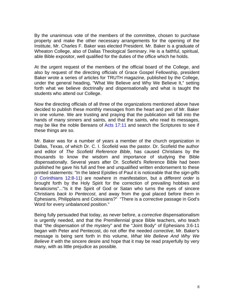By the unanimous vote of the members of the committee, chosen to purchase property and make the other necessary arrangements for the opening of the Institute, Mr. Charles F. Baker was elected President. Mr. Baker is a graduate of Wheaton College, also of Dallas Theological Seminary. He is a faithful, spiritual, able Bible expositor, well qualified for the duties of the office which he holds.

At the urgent request of the members of the official board of the College, and also by request of the directing officials of Grace Gospel Fellowship, president Baker wrote a series of articles for TRUTH magazine, published by the College, under the general heading, "What We Believe and Why We Believe It," setting forth what we believe doctrinally and dispensationally and what is taught the students who attend our College.

Now the directing officials of all three of the organizations mentioned above have decided to publish these monthly messages from the heart and pen of Mr. Baker in one volume. We are trusting and praying that the publication will fall into the hands of many sinners and saints, and that the saints, who read its messages, may be like the noble Bereans of Acts 17:11 and search the Scriptures to see if these things are so.

Mr. Baker was for a number of years a member of the church organization in Dallas, Texas, of which Dr. C. I. Scofield was the pastor. Dr. Scofield the author and editor of *The Scofield Reference Bible*, has caused Christians by the thousands to know the wisdom and importance of studying the Bible dispensationally. Several years after Dr. Scofield's Reference Bible had been published he gave his full and free and unqualified written endorsement to these printed statements: "In the latest Epistles of Paul it is noticeable that the *sign-gifts* (I Corinthians 12:8-11) are nowhere in manifestation, but a *different order* is brought forth by the Holy Spirit for the correction of prevailing hobbies and fanaticisms"..."Is it the Spirit of God or Satan who turns the eyes of sincere Christians *back to Pentecost*, and away from the goal placed before them in Ephesians, Philipplans and Colossians?" "There is a *corrective* passage in God's Word for every unbalanced position."

Being fully persuaded that today, as never before, a *corrective* dispensationalism is urgently needed, and that the Premillennial grace Bible teachers, who teach that "the dispensation of the mystery" and the "Joint Body" of Ephesians 3:6-11 began with Peter and Pentecost, do not offer the needed *corrective*, Mr. Baker's message is being sent forth in this volume, *What We Believe And Why We Believe It* with the sincere desire and hope that it may be read prayerfully by very many, with as little prejudice as possible.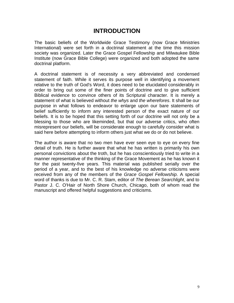## **INTRODUCTION**

The basic beliefs of the Worldwide Grace Testimony (now Grace Ministries International) were set forth in a doctrinal statement at the time this mission society was organized. Later the Grace Gospel Fellowship and Milwaukee Bible Institute (now Grace Bible College) were organized and both adopted the same doctrinal platform.

A doctrinal statement is of necessity a very abbreviated and condensed statement of faith. While it serves its purpose well in identifying a movement relative to the truth of God's Word, it does need to be elucidated considerably in order to bring out some of the finer points of doctrine and to give sufficient Biblical evidence to convince others of its Scriptural character. It is merely a statement of what is believed without *the whys* and *the wherefores*. It shall be our purpose in what follows to endeavor to enlarge upon our bare statements of belief sufficiently to inform any interested person of the exact nature of our beliefs. It is to be hoped that this setting forth of our doctrine will not only be a blessing to those who are likeminded, but that our adverse critics, who often misrepresent our beliefs, will be considerate enough to carefully consider what is said here before attempting to inform others just what we do or do not believe.

The author is aware that no two men have ever seen eye to eye on every fine detail of truth. He is further aware that what he has written is primarily his own personal convictions about the troth, but he has conscientiously tried to write in a manner representative of the thinking of the Grace Movement as he has known it for the past twenty-five years. This material was published serially over the period of a year, and to the best of his knowledge no adverse criticisms were received from any of the members of the *Grace Gospel Fellowship*. A special word of thanks is due to Mr. C. R. Stam, editor of *The Berean Searchlight*, and to Pastor J. C. O'Hair of North Shore Church, Chicago, both of whom read the manuscript and offered helpful suggestions and criticisms.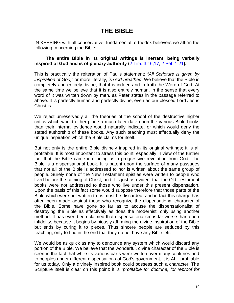# **THE BIBLE**

IN KEEPING with all conservative, fundamental, orthodox believers we affirm the following concerning the Bible:

#### **The entire Bible in its original writings is inerrant, being verbally inspired of God and is of plenary authority (**2 Tim. 3:16,17; 2 Pet. 1:21**).**

This is practically the reiteration of Paul's statement: *"All Scripture is given by inspiration of God,"* or more literally, *is God-breathed*. We believe that the Bible is completely and entirely divine, that it is indeed and in truth the Word of God. At the same time we believe that it is also entirely human, in the sense that every word of it was written down by men, as Peter states in the passage referred to above. It is perfectly human and perfectly divine, even as our blessed Lord Jesus Christ is.

We reject unreservedly all the theories of the school of the destructive higher critics which would either place a much later date upon the various Bible books than their internal evidence would naturally indicate, or which would deny the stated authorship of these books. Any such teaching must effectually deny the unique inspiration which the Bible claims for itself.

But not only is the entire Bible divinely inspired in its original writings; it is all profitable. It is most important to stress this point, especially in view of the further fact that the Bible came into being as a progressive revelation from God. The Bible is a dispensational book. It is patent upon the surface of many passages that not all of the Bible is addressed to nor is written about the same group of people. Surely none of the New Testament epistles were written to people who lived before the coming of Christ, and it is just as evident that the Old Testament books were not addressed to those who live under this present dispensation. Upon the basis of this fact some would suppose therefore that those parts of the Bible which were not written to us must be discarded, and in fact this charge has often been made against those who recognize the dispensational character of the Bible. Some have gone so far as to accuse the dispensationalist of destroying the Bible as effectively as does the modernist, only using another method. It has even been claimed that dispensationalism is far worse than open infidelity, because it begins by piously affirming the divine inspiration of the Bible but ends by curing it to pieces. Thus sincere people are seduced by this teaching, only to find in the end that they do not have any Bible left.

We would be as quick as any to denounce any system which would discard any portion of the Bible. We believe that the wonderful, divine character of the Bible is seen in the fact that while its various parts were written over many centuries and to peoples under different dispensations of God's government, it is ALL profitable for us today. Only a divinely inspired book could possess such a character. The Scripture itself is clear on this point: it is *"profitable for doctrine, for reproof for*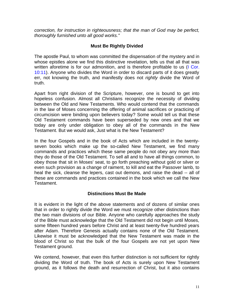*correction, for instruction in righteousness; that the man of God may be perfect, thoroughly furnished unto all good works."*

#### **Must Be Rightly Divided**

The apostle Paul, to whom was committed the dispensation of the mystery and in whose epistles alone we find this distinctive revelation, tells us that all that was written aforetime is for our admonition, and is therefore profitable to us (I Cor. 10:11). Anyone who divides the Word in order to discard parts of it does greatly err, not knowing the truth, and manifestly does not *rightly* divide the Word of truth.

Apart from right division of the Scripture, however, one is bound to get into hopeless confusion. Almost all Christians recognize the necessity of dividing between the Old and New Testaments. Who would contend that the commands in the law of Moses concerning the offering of animal sacrifices or practicing of circumcision were binding upon believers today? Some would tell us that these Old Testament commands have been superseded by new ones and that we today are only under obligation to obey all of the commands in the New Testament. But we would ask, Just what is the New Testament?

In the four Gospels and in the book of Acts which are included in the twentyseven books which make up the so-called New Testament, we find many commands and practices which these same people do not obey any more than they do those of the Old Testament. To sell all and to have all things common, to obey those that sit in Moses' seat, to go forth preaching without gold or silver or even such provision as a change of raiment, to kill and eat the Passover lamb, to heal the sick, cleanse the lepers, cast out demons, and raise the dead -- all of these are commands and practices contained in the book which we call the New Testament.

#### **Distinctions Must Be Made**

It is evident in the light of the above statements and of dozens of similar ones that in order to rightly divide the Word we must recognize other distinctions than the two main divisions of our Bible. Anyone who carefully approaches the study of the Bible must acknowledge that the Old Testament did not begin until Moses, some fifteen hundred years before Christ and at least twenty-five hundred years after Adam. Therefore Genesis actually contains none of the Old Testament. Likewise it must be acknowledged that the New Testament was made in the blood of Christ so that the bulk of the four Gospels are not yet upon New Testament ground.

We contend, however, that even this further distinction is not sufficient for rightly dividing the Word of truth. The book of Acts is surely upon New Testament ground, as it follows the death and resurrection of Christ, but it also contains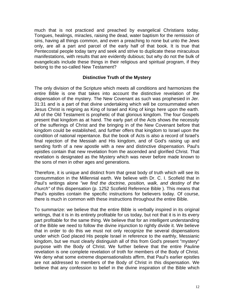much that is not practiced and preached by evangelical Christians today. Tongues, healings, miracles, raising the dead, water baptism for the remission of sins, having all things common, and even a preaching to none but unto the Jews only, are all a part and parcel of the early half of that book. It is true that Pentecostal people today tarry and seek and strive to duplicate these miraculous manifestations, with results that are evidently dubious; but why do not the bulk of evangelicals include these things in their religious and spiritual program, if they belong to the so-called New Testament?

#### **Distinctive Truth of the Mystery**

The only division of the Scripture which meets all conditions and harmonizes the entire Bible is one that takes into account the distinctive revelation of the dispensation of the mystery. The New Covenant as such was prophesied in Jer. 31:31 and is a part of that divine undertaking which will be consummated when Jesus Christ is reigning as King of Israel and King of kings here upon the earth. All of the Old Testament is prophetic of that glorious kingdom. The four Gospels present that kingdom as at hand. The early part of the Acts shows the necessity of the sufferings of Christ and the bringing in of the New Covenant before that kingdom could be established, and further offers that kingdom to Israel upon the condition of national repentance. But the book of Acts is also a record of lsrael's final rejection of the Messiah and His kingdom, and of God's raising up and sending forth of a new apostle with a new and distinctive dispensation. Paul's epistles contain that new revelation from the ascended and glorified Christ. That revelation is designated as the Mystery which was never before made known to the sons of men in other ages and generations.

Therefore, it is unique and distinct from that great body of truth which will see its consummation in the Millennial earth. We believe with Dr. C. I. Scofield that in Paul's writings alone *"we find the doctrine, position, walk, and destiny of the church"* of this dispensation (p. 1252 Scofield Reference Bible ). This means that Paul's epistles contain the specific instructions for believers today. Of course, there is much in common with these instructions throughout the entire Bible.

To summarize: we believe that the entire Bible is verbally inspired in its original writings, that it is in its entirety profitable for us today, but not that it is in its every part profitable for the same thing. We believe that for an intelligent understanding of the Bible we need to follow the divine injunction to rightly divide it. We believe that in order to do this we must not only recognize the several dispensations under which God placed His people Israel in reference to the earthly, Messianic kingdom, but we must clearly distinguish all of this from God's present "mystery" purpose with the Body of Christ. We further believe that the entire Pauline revelation is one complete revelation of troth for members of the Body of Christ. We deny what some extreme dispensationalists affirm, that Paul's earlier epistles are not addressed to members of the Body of Christ in this dispensation. We believe that any confession to belief in the divine inspiration of the Bible which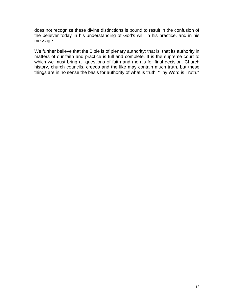does not recognize these divine distinctions is bound to result in the confusion of the believer today in his understanding of God's will, in his practice, and in his message.

We further believe that the Bible is of plenary authority; that is, that its authority in matters of our faith and practice is full and complete. It is the supreme court to which we must bring all questions of faith and morals for final decision. Church history, church councils, creeds and the like may contain much truth, but these things are in no sense the basis for authority of what is truth. "Thy Word is Truth."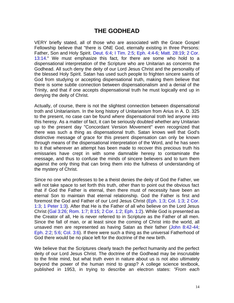# **THE GODHEAD**

VERY briefly stated, all of those who are associated with the Grace Gospel Fellowship believe that "there is ONE God, eternally existing in three Persons: Father, Son and Holy Spirit. Deut. 6:4; I Tim. 2:5; Eph. 4:4-6; Matt. 28:19; 2 Cor. 13:14." We must emphasize this fact, for there are some who hold to a dispensational interpretation of the Scripture who are Unitarian as concerns the Godhead. All such deny the deity of our Lord Jesus Christ and the personality of the blessed Holy Spirit. Satan has used such people to frighten sincere saints of God from studying or accepting dispensational truth, making them believe that there is some subtle connection between dispensationalism and a denial of the Trinity, and that if one accepts dispensational truth he must logically end up in denying the deity of Christ.

Actually, of course, there is not the slightest connection between dispensational troth and Unitarianism. In the long history of Unitarianism from Arius in A. D. 325 to the present, no case can be found where dispensational troth led anyone into this heresy. As a matter of fact, it can be seriously doubted whether any Unitarian up to the present day "Concordant Version Movement" even recognized that there was such a thing as dispensational truth. Satan knows well that God's distinctive message of grace for this present dispensation can only be known through means of the dispensational interpretation of the Word, and he has seen to it that wherever an attempt has been made to recover this precious truth his emissaries have crept in with some damnable heresy to contaminate the message, and thus to confuse the minds of sincere believers and to turn them against the only thing that can bring them into the fullness of understanding of the mystery of Christ.

Since no one who professes to be a theist denies the deity of God the Father, we will not take space to set forth this truth, other than to point out the obvious fact that if God the Father is eternal, then there must of necessity have been an eternal Son to maintain that eternal relationship. God the Father is first and foremost the God and Father of our Lord Jesus Christ (Eph. 1:3; Col. 1:3; 2 Cor. 1:3; 1 Peter 1:3). After that He is the Father of all who believe on the Lord Jesus Christ (Gal 3:26; Rom. 1:7; 8:15; 2 Cor. 1:2; Eph. 1:2). While God is presented as the Creator of all, He is never referred to in Scripture as the Father of all men. Since the fall of man, or at least since the coming of Christ into the world, all unsaved men are represented as having Satan as their father (John 8:42-44; Eph. 2:2; 5:6; Col. 3:6). If there were such a thing as the universal Fatherhood of God there would be no place left for the doctrine of the new birth.

We believe that the Scriptures clearly teach the perfect humanity and the perfect deity of our Lord Jesus Christ. The doctrine of the Godhead may be inscrutable to the finite mind, but what truth even in nature about us is not also ultimately beyond the power of the human mind to grasp? A college science textbook, published in 1953, in trying to describe an electron states: *"From each*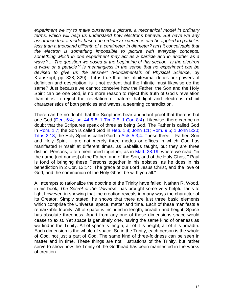*experiment we try to make ourselves a picture, a mechanical model in ordinary terms, which will help us understand how electrons behave. But have we any assurance that a model based on ordinary experience can be applied to particles less than a thousand billionth of a centimeter in diameter? Isn't it conceivable that the electron is something impossible to picture with everyday concepts, something which in one experiment may act as a particle and in another as a wave? ... The question we posed at the beginning of this section, 'Is the electron a wave or a particle?' is meaningless in the sense that no experiment can be devised to give us the answer" (Fundamentals of Physical Science*, by Krauskopf, pp. 328, 329). If it is true that the infinitesimal defies our powers of definition and description, is it not evident that the Infinite must likewise do the same? Just because we cannot conceive how the Father, the Son and the Holy Spirit can be one God, is no more reason to reject this truth of God's revelation than it is to reject the revelation of nature that light and electrons exhibit characteristics of both particles and waves, a seeming contradiction.

There can be no doubt that the Scriptures bear abundant proof that there is but one God (Deut 6:4; Isa. 44:6-8; 1 Tim 2:5; 1 Cor. 8:4). Likewise, there can be no doubt that the Scriptures speak of three as being God. The Father is called God in Rom. 1:7; the Son is called God in Heb. 1:8; John 1:1; Rom. 9:5; 1 John 5:20; Titus 2:13; the Holy Spirit is called God in Acts 5:3,4. These three -- Father, Son and Holy Spirit -- are not merely three modes or offices in which God has manifested Himself at different times, as Sabellius taught, but they are three distinct Persons, often mentioned together, as in Matt. 28:19, where we read, "in the name [not names] of the Father, and of the Son, and of the Holy Ghost." Paul is fond of bringing these Persons together in his epistles, as he does in his benediction in 2 Cor. 13:14: "The grace of our Lord Jesus Christ, and the love of God, and the communion of the Holy Ghost be with you all."

All attempts to rationalize the doctrine of the Trinity have failed. Nathan R. Wood, in his book, *The Secret of the Universe*, has brought some very helpful facts to light however, in showing that the creation reveals in many ways the character of its Creator. Simply stated, he shows that there are just three basic elements which comprise the Universe: space, matter and time. Each of these manifests a remarkable triunity. All of space is included in length, breadth and height. Space has absolute threeness. Apart from any one of these dimensions space would cease to exist. Yet space is genuinely one, having the same kind of oneness as we find in the Trinity. All of space is length; all of it is height; all of it is breadth. Each dimension is the whole of space. So in the Trinity, each person is the whole of God, not just a part of God. The same kind of three-foldness can be seen in matter and in time. These things are not illustrations of the Trinity, but rather serve to show how the Trinity of the Godhead has been manifested in the works of creation.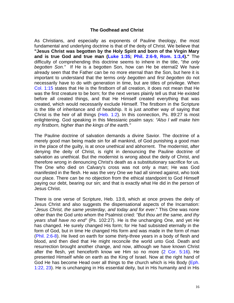#### **The Godhead and Christ**

As Christians, and especially as exponents of Pauline theology, the most fundamental and underlying doctrine is that of the deity of Christ. We believe that **"Jesus Christ was begotten by the Holy Spirit and born of the Virgin Mary and is true God and true man (Luke 1:35; Phil. 2:6-9, Rom. 1:3,4)."** The difficulty of comprehending this doctrine seems to inhere in the title, "*the only begotten Son."* If He is a begotten Son, how can He be eternal2 We have already seen that the Father can be no more eternal than the Son, but here it is important to understand that the terms *only begotten* and *first begotten* do not necessarily have to do with generation in time, but are titles of privilege. When Col. 1:15 states that He is the firstborn of all creation, it does not mean that He was the first creature to be born; for the next verses plainly tell us that He existed before all created things, and that He Himself created everything that was created, which would necessarily exclude Himself. The firstborn in the Scripture is the title of inheritance and of headship. It is just another way of saying that Christ is the heir of all things ( $Heb. 1:2$ ). In this connection, Ps. 89:27 is most enlightening. God speaking in this Messianic psalm says: *"Also l will make him my firstborn, higher than the kings of the earth."*

The Pauline doctrine of salvation demands a divine Savior. The doctrine of a merely good man being made sin for all mankind, of God punishing a good man in the place of the guilty, is at once unethical and abhorrent. The modernist, after denying the deity of Christ, is right in denouncing the Pauline doctrine of salvation as unethical. But the modernist is wrong about the deity of Christ, and therefore wrong in denouncing Christ's death as a substitutionary sacrifice for us. The One who died on Calvary's cross was not only a man; He was God manifested in the flesh. He was the very One we had all sinned against, who took our place. There can be no objection from the ethical standpoint to God Himself paying our debt, bearing our sin; and that is exactly what He did in the person of Jesus Christ.

There is one verse of Scripture, Heb. 13:8, which at once proves the deity of Jesus Christ and also suggests the dispensational aspects of the Incarnation: "*Jesus Christ, the same yesterday, and today and for ever*." This One was none other than the God unto whom the Psalmist cried: *"But thou art the same, and thy years shall have no end"* (Ps. 102:27). He is the unchanging One, and yet He has changed. He surely changed His form; for He had subsisted eternally in the form of God, but in time He changed His form and was made in the form of man (Phil. 2:6-8). He lived on earth for some thirty-three years in a body of flesh and blood, and then died that He might reconcile the world unto God. Death and resurrection brought another change, and now, although we have known Christ after the flesh, yet henceforth know we Him so no more (2 Cor. 5:16). He presented Himself while on earth as the King of Israel. Now at the right hand of God He has become Head over all things to the church which is His Body (Eph. 1:22, 23). He is unchanging in His essential deity, but in His humanity and in His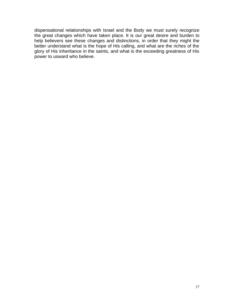dispensational relationships with Israel and the Body we must surely recognize the great changes which have taken place. It is our great desire and burden to help believers see these changes and distinctions, in order that they might the better understand what is the hope of His calling, and what are the riches of the glory of His inheritance in the saints, and what is the exceeding greatness of His power to usward who believe.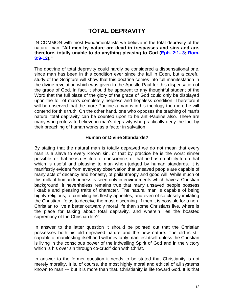# **TOTAL DEPRAVITY**

IN COMMON with most Fundamentalists we believe in the total depravity of the natural man. "**All men by nature are dead in trespasses and sins and are, therefore, totally unable to do anything pleasing to God (Eph. 2:1- 3; Rom. 3:9-12)."**

The doctrine of total depravity could hardly be considered a dispensational one, since man has been in this condition ever since the fall in Eden, but a careful study of the Scripture will show that this doctrine comes into full manifestation in the divine revelation which was given to the Apostle Paul for this dispensation of the grace of God. In fact, it should be apparent to any thoughtful student of the Word that the full blaze of the glory of the grace of God could only be displayed upon the foil of man's completely helpless and hopeless condition. Therefore it will be observed that the more Pauline a man is in his theology the more he will contend for this truth. On the other hand, one who opposes the teaching of man's natural total depravity can be counted upon to be anti-Pauline also. There are many who profess to believe in man's depravity who practically deny the fact by their preaching of human works as a factor in salvation.

#### **Human or Divine Standards?**

By stating that the natural man is totally depraved we do not mean that every man is a slave to every known sin, or that by practice he is the worst sinner possible, or that he is destitute of conscience, or that he has no ability to do that which is useful and pleasing to man when judged by human standards. It is manifestly evident from everyday observation that unsaved people are capable of many acts of decency and honesty, of philanthropy and good will. While much of this milk of human kindness is seen only in environments which have a Christian background, it nevertheless remains true that many unsaved people possess likeable and pleasing traits of character. The natural man is capable of being highly religious, of curtailing his fleshy appetites, and even of so closely imitating the Christian life as to deceive the most discerning. If then it is possible for a non-Christian to live a better outwardly moral life than some Christians live, where is the place for talking about total depravity, and wherein lies the boasted supremacy of the Christian life?

In answer to the latter question it should be pointed out that the Christian possesses both his old depraved nature and the new nature. The old is still capable of manifesting itself and will inevitably manifest itself unless the Christian is living in the conscious power of the indwelling Spirit of God and in the victory which is his over sin through co-crucifixion with Christ.

In answer to the former question it needs to be stated that Christianity is not merely morality. It is, of course, the most highly moral and ethical of all systems known to man --- but it is more than that. Christianity is life toward God. It is that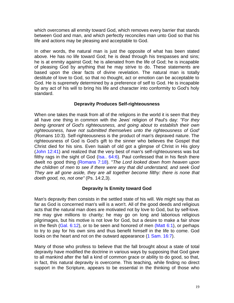which overcomes all enmity toward God, which removes every barrier that stands between God and man, and which perfectly reconciles man unto God so that his life and actions may be pleasing and acceptable to God.

In other words, the natural man is just the opposite of what has been stated above. He has no life toward God; he is dead through his trespasses and sins; he is at enmity against God; he is alienated from the life of God; he is incapable of pleasing God by anything that he may strive to do. These statements are based upon the clear facts of divine revelation. The natural man is totally destitute of love to God, so that no thought, act or emotion can be acceptable to God. He is supremely determined by a preference of self to God. He is incapable by any act of his will to bring his life and character into conformity to God's holy standard.

#### **Depravity Produces Self-righteousness**

When one takes the mask from all of the religions in the world it is seen that they all have one thing in common with the Jews' religion of Paul's day: *"For they being ignorant of God's righteousness, and going about to establish their own righteousness, have not submitted themselves unto the righteousness of God'* (Romans 10:3). Self-righteousness is the product of man's depraved nature. The righteousness of God is God's gift to the sinner who believes the Gospel that Christ died for his sins. Even Isaiah of old got a glimpse of Christ in His glory (John 12:41) and realized that the very best of man's self-righteousness was but filthy rags in the sight of God ( $\text{Isa.}$   $64:6$ ). Paul confessed that in his flesh there dwelt no good thing (Romans 7:18). "*The Lord looked down from heaven upon the children of men to see if there were any that did understand, and seek God They are all gone aside, they are all together become filthy: there is none that doeth good, no, not one"* (Ps. 14:2,3).

#### **Depravity Is Enmity toward God**

Man's depravity then consists in the settled state of his will. We might say that as far as God is concerned man's will is a won't. All of the good deeds and religious acts that the natural man does are motivated not by love to God, but by self-love. He may give millions to charity; he may go on long and laborious religious pilgrimages, but his motive is not love for God, but a desire to make a fair show in the flesh  $(Gal. 6:12)$ , or to be seen and honored of men  $(Matt 6:1)$ , or perhaps to try to pay for his own sins and thus benefit himself in the life to come. God looks on the heart and not on the outward appearance (1 Sam. 16:7).

Many of those who profess to believe that the fall brought about a state of total depravity have modified the doctrine in various ways by supposing that God gave to all mankind after the fall a kind of common grace or ability to do good, so that, in fact, this natural depravity is overcome. This teaching, while finding no direct support in the Scripture, appears to be essential in the thinking of those who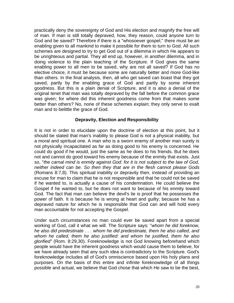practically deny the sovereignty of God and His election and magnify the free will of man. If man is still totally depraved, how, they reason, could anyone turn to God and be saved? Therefore if there is a "whosoever gospel," there must be an enabling given to all mankind to make it possible for them to turn to God. All such schemes are designed to try to get God out of a dilemma in which He appears to be unrighteous and partial. They all end up, however, in another dilemma, and in doing violence to the plain teaching of the Scripture. If God gives the same enabling power to all men to be saved, why are not all saved? If God has no elective choice, it must be because some are naturally better and more God-like than others. In the final analysis, then, all who get saved can boast that they got saved, partly by the enabling grace of God and partly by some inherent goodness. But this is a plain denial of Scripture, and it is also a denial of the original tenet that man was totally depraved by the fall before the common grace was given; for where did this inherent goodness come from that makes some better than others? No, none of these schemes explain; they only serve to exalt man and to belittle the grace of God.

#### **Depravity, Election and Responsibility**

It is not in order to elucidate upon the doctrine of election at this point, but it should be stated that man's inability to please God is not a physical inability, but a moral and spiritual one. A man who is a sworn enemy of another man surely is not physically incapacitated as far as doing good to his enemy is concerned. He could do good if he would, just the same as he does to his friends. But he does not and cannot do good toward his enemy because of the enmity that exists. Just so, "*the carnal mind is enmity against God: for it is not subject to the law of God, neither indeed can be. So then they that are in the flesh cannot please Gods* (Romans 8:7,8). This spiritual inability or depravity then, instead of providing an excuse for man to claim that he is not responsible and that he could not be saved if he wanted to, is actually a cause of his condemnation. He could believe the Gospel if he wanted to, but he does not want to because of his enmity toward God. The fact that man can believe the devil's lie is proof that he possesses the power of faith. It is because he is wrong at heart and guilty; because he has a depraved nature for which he is responsible that God can and will hold every man accountable for not accepting the Gospel.

Under such circumstances no man could ever be saved apart from a special working of God, call it what we will. The Scripture says: "*whom he did foreknow, he also did predestinate . . . whom he did predestinate, them he also called, and whom he called, them he also justified: and whom he justified, them he also glorified"* (Rom. 8:29,30). Foreknowledge is not God knowing beforehand which people would have the inherent goodness which would cause them to believe, for we have already seen that any such idea is contradictory to the Scripture. God's foreknowledge includes all of God's omniscience based upon His holy plans and purposes. On the basis of this entire and infinite foreknowledge of all things possible and actual, we believe that God chose that which He saw to be the best,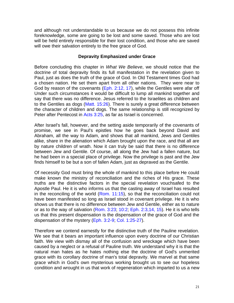and although not understandable to us because we do not possess this infinite foreknowledge, some are going to be lost and some saved. Those who are lost will be held entirely responsible for their lost condition, and those who are saved will owe their salvation entirely to the free grace of God.

#### **Depravity Emphasized under Grace**

Before concluding this chapter in *What We Believe*, we should notice that the doctrine of total depravity finds its full manifestation in the revelation given to Paul, just as does the truth of the grace of God. In Old Testament times God had a chosen nation. He set them apart from all other nations. They were near to God by reason of the covenants (Eph. 2:12, 17), while the Gentiles were afar off Under such circumstances it would be difficult to lump all mankind together and say that there was no difference. Jesus referred to the Israelites as children and to the Gentiles as dogs (Matt. 15:26). There is surely a great difference between the character of children and dogs. The same relationship is still recognized by Peter after Pentecost in Acts 3:25, as far as Israel is concerned.

After Israel's fall, however, and the setting aside temporarily of the covenants of promise, we see in Paul's epistles how he goes back beyond David and Abraham, all the way to Adam, and shows that all mankind, Jews and Gentiles alike, share in the alienation which Adam brought upon the race, and that all are by nature children of wrath. Now it can truly be said that there is no difference between Jew and Gentile. Of course, all along the Jew had a fallen nature, but he had been in a special place of privilege. Now the privilege is past and the Jew finds himself to be but a son of fallen Adam, just as depraved as the Gentile.

Of necessity God must bring the whole of mankind to this place before He could make known the ministry of reconciliation and the riches of His grace. These truths are the distinctive factors in the special revelation vouchsafed to the Apostle Paul. He it is who informs us that the casting away of Israel has resulted in the reconciling of the world (Rom. 11:15), so that the reconciliation could not have been manifested so long as Israel stood in covenant privilege. He it is who shows us that there is no difference between Jew and Gentile, either as to nature or as to the way of salvation (Rom. 3:23; 10:2; Eph. 2:3,14, 15). He it is who tells us that this present dispensation is the dispensation of the grace of God and the dispensation of the mystery (Eph. 3:2-9; Col. 1:25-27).

Therefore we contend earnestly for the distinctive truth of the Pauline revelation. We see that it bears an important influence upon every doctrine of our Christian faith. We view with dismay all of the confusion and wreckage which have been caused by a neglect or a refusal of Pauline truth. We understand why it is that the natural man hates as he hates nothing else the doctrine of God's unmerited grace with its corollary doctrine of man's total depravity. We marvel at that same grace which in God's own mysterious working brought us to see our hopeless condition and wrought in us that work of regeneration which imparted to us a new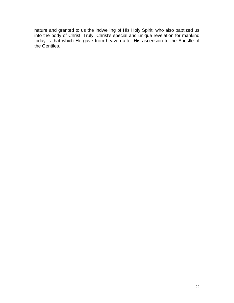nature and granted to us the indwelling of His Holy Spirit, who also baptized us into the body of Christ. Truly, Christ's special and unique revelation for mankind today is that which He gave from heaven after His ascension to the Apostle of the Gentiles.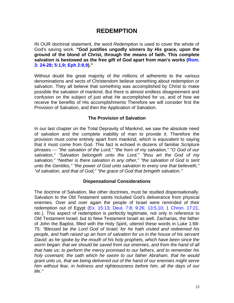### **REDEMPTION**

IN OUR doctrinal statement, the word *Redemption* is used to cover the whole of God's saving work. **"God justifies ungodly sinners by His grace, upon the ground of the blond of Christ, through the means of faith. This complete salvation is bestowed as the free gift of God apart from man's works (Rom. 3: 24-28; 5:1,9; Eph 2:8,9)."**

Without doubt the great majority of the millions of adherents to the various denominations and sects of Christendom believe something about redemption or salvation. They all believe that something was accomplished by Christ to make possible the salvation of mankind. But there is almost endless disagreement and confusion on the subject of just what He accomplished for us, and of how we receive the benefits of His accomplishments Therefore we will consider first the Provision of Salvation, and then the Application of Salvation.

#### **The Provision of Salvation**

In our last chapter on the Total Depravity of Mankind, we saw the absolute need of salvation and the complete inability of man to provide it. Therefore the provision must come entirely apart from mankind, which is equivalent to saying that it must come from God. This fact is echoed in dozens of familiar Scripture phrases --- *"the salvation of the Lord," "the horn of my salvation," "O God of our salvation," "Salvation belongeth unto the Lord," "thou art the God of my salvation," "Neither is there salvation in any other," "the salvation of God is sent unto the Gentiles," "the power of God unto salvation to every one that believeth," "of salvation, and that of God," "the grace of God that bringeth salvation."*

#### **Dispensational Considerations**

The doctrine of Salvation, like other doctrines, must be studied dispensationally. Salvation to the Old Testament saints included God's deliverance from physical enemies. Over and over again the people of Israel were reminded of their redemption out of Egypt (Ex. 15:13; Deut. 7:8; 9:26; 13:5,10; 1 Chron. 17:21, etc.). This aspect of redemption is perfectly legitimate, not only in reference to Old Testament Israel, but to New Testament Israel as well. Zacharias, the father of John the Baptist, filled with the Holy Spirit, uttered these words in Luke 1:68- 75: *"Blessed be the Lord God of lsrael; for he hath visited and redeemed his people, and hath raised up an horn of salvation for us in the house of his servant David; as he spoke by the mouth of his holy prophets, which have been since the worm began: that we should be saved from our enemies, and from the hand of all that hate us; to perform the mercy promised to our fathers, and to remember his holy covenant; the oath which he swore to our father Abraham, that he would grant unto us, that we being delivered out of the hand of our enemies might serve him without fear, in holiness and righteousness before him, all the days of our life."*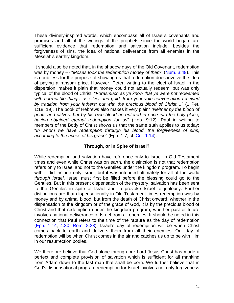These divinely-inspired words, which encompass all of Israel's covenants and promises and all of the writings of the prophets since the world began, are sufficient evidence that redemption and salvation include, besides the forgiveness of sins, the idea of national deliverance from all enemies in the Messiah's earthly kingdom.

It should also be noted that, in the shadow days of the Old Covenant, redemption was by money --- "*Moses took the redemption money of them*" (Num. 3:49). This is doubtless for the purpose of showing us that redemption does involve the idea of paying a ransom price. However, Peter, writing to the elect of Israel in the dispersion, makes it plain that money could not actually redeem, but was only typical of the blood of Christ: "*Forasmuch as ye know that ye were not redeemed with corruptible things, as silver and gold, from your vain conversation received by tradition from your fathers; but with the precious blood of Christ...."* (1 Pet. 1:18, 19). The book of Hebrews also makes it very plain*: "Neither by the blood of goats and calves, but by his own blood he entered in once into the holy place, having obtained eternal redemption for us*" (Heb. 9:12). Paul in writing to members of the Body of Christ shows us that the same truth applies to us today: "*In whom we have redemption through his blood, the forgiveness of sins, according to the riches of his grace*" (Eph. 1:7, cf. Col. 1:14).

#### **Through, or in Spite of Israel?**

While redemption and salvation have reference only to Israel in Old Testament times and even while Christ was on earth, the distinction is not that redemption refers only to Israel and not to the Gentiles under the kingdom program. To begin with it did include only Israel, but it was intended ultimately for all of the world *through Israel*. Israel must first be filled before the blessing could go to the Gentiles. But in this present dispensation of the mystery, salvation has been sent to the Gentiles in spite of Israel and to provoke Israel to jealousy. Further distinctions are that dispensationally in Old Testament times redemption was by money and by animal blood, but from the death of Christ onward, whether in the dispensation of the kingdom or of the grace of God, it is by the precious blood of Christ and that redemption under the kingdom program, whether past or future involves national deliverance of Israel from all enemies. It should be noted in this connection that Paul refers to the time of the rapture as the day of redemption (Eph. 1:14; 4:30; Rom. 8:23). Israel's day of redemption will be when Christ comes back to earth and delivers them from all their enemies. Our day of redemption will be when Christ comes in the air and catches us up to be with Him in our resurrection bodies.

We therefore believe that God alone through our Lord Jesus Christ has made a perfect and complete provision of salvation which is sufficient for all mankind from Adam down to the last man that shall be born. We further believe that in God's dispensational program redemption for Israel involves not only forgiveness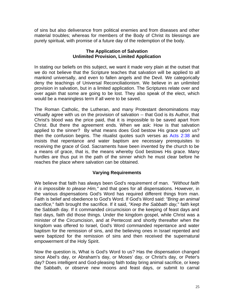of sins but also deliverance from political enemies and from diseases and other material troubles; whereas for members of the Body of Christ its blessings are purely spiritual, with promise of a future day of the redemption of the body.

#### **The Application of Salvation Unlimited Provision, Limited Application**

In stating our beliefs on this subject, we want it made very plain at the outset that we do not believe that the Scripture teaches that salvation will be applied to all mankind universally, and even to fallen angels and the Devil. We categorically deny the teachings of Universal Reconciliationism. We believe in an unlimited provision in salvation, but in a limited application. The Scriptures relate over and over again that some are going to be lost. They also speak of the elect, which would be a meaningless term if all were to be saved.

The Roman Catholic, the Lutheran, and many Protestant denominations may virtually agree with us on the provision of salvation -- that God is its Author, that Christ's blood was the price paid, that it is impossible to be saved apart from Christ. But there the agreement ends. When we ask: How is that salvation applied to the sinner? By what means does God bestow His grace upon us? then the confusion begins. The ritualist quotes such verses as Acts 2:38 and insists that repentance and water baptism are necessary prerequisites to receiving the grace of God. Sacraments have been invented by the church to be a means of grace, that is, the means whereby God bestows His grace. Many hurdles are thus put in the path of the sinner which he must clear before he reaches the place where salvation can be obtained.

#### **Varying Requirements**

We believe that faith has always been God's requirement of man. *"Without faith it is impossible to please Him,"* and that goes for all dispensations. However, in the various dispensations God's Word has required different things from man. Faith is belief and obedience to God's Word. If God's Word said: *"Bring an animal sacrifice,*" faith brought the sacrifice. If it said, "*Keep the Sabbath day,*" faith kept the Sabbath day. If it commanded circumcision or the keeping of feast days and fast days, faith did those things. Under the kingdom gospel, while Christ was a minister of the Circumcision, and at Pentecost and shortly thereafter when the kingdom was offered to Israel, God's Word commanded repentance and water baptism for the remission of sins, and the believing ones in Israel repented and were baptized for the remission of sins and then received the supernatural empowerment of the Holy Spirit.

Now the question is, What is God's Word to us? Has the dispensation changed since Abel's day, or Abraham's day, or Moses' day, or Christ's day, or Peter's day? Does intelligent and God-pleasing faith today bring animal sacrifice, or keep the Sabbath, or observe new moons and feast days, or submit to carnal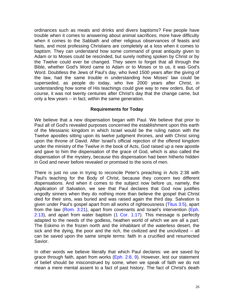ordinances such as meats and drinks and divers baptisms? Few people have trouble when it comes to answering about animal sacrifices; more have difficulty when it comes to the Sabbath and other religious observances of feasts and fasts, and most professing Christians are completely at a loss when it comes to baptism. They can understand how some command of great antiquity given to Adam or to Moses could be rescinded, but surely nothing spoken by Christ or by the Twelve could ever be changed. They seem to forget that all through the Bible, whether God's Word came to Adam or to Moses or to us, it was God's Word. Doubtless the Jews of Paul's day, who lived 1500 years after the giving of the law, had the same trouble in understanding how Moses' law could be superseded, as people do today, who live 2000 years after Christ, in understanding how some of His teachings could give way to new orders. But, of course, it was not twenty centuries after Christ's day that the change came, but only a few years -- in fact, within the same generation.

#### **Requirements for Today**

We believe that a new dispensation began with Paul. We believe that prior to Paul all of God's revealed purposes concerned the establishment upon this earth of the Messianic kingdom in which Israel would be the ruling nation with the Twelve apostles sitting upon its twelve judgment thrones, and with Christ siring upon the throne of David. After Israel's official rejection of the offered kingdom under the ministry of the Twelve in the book of Acts, God raised up a new apostle and gave to him the dispensation of the grace of God, which is also called the dispensation of the mystery, because this dispensation had been hitherto hidden in God and never before revealed or promised to the sons of men.

There is just no use in trying to reconcile Peter's preaching in Acts 2:38 with Paul's teaching for the Body of Christ, because they concern two different dispensations. And when it comes to the subject now before us, namely, the Application of Salvation, we see that Paul declares that God now justifies ungodly sinners when they do nothing more than believe the gospel that Christ died for their sins, was buried and was raised again the third day. Salvation is given under Paul's gospel apart from all works of righteousness (Titus 3:5), apart from the law (Rom. 3:21), apart from covenants and Israel's intervention (Eph.  $2:13$ ), and apart from water baptism  $(1 \text{ Cor. } 1:17)$ . This message is perfectly adapted to the needs of the godless, heathen world of which we are all a part. The Eskimo in the frozen north and the inhabitant of the waterless desert, the sick and the dying, the poor and the rich, the civilized and the uncivilized -- all can be saved upon the same simple terms: faith in a crucified and resurrected Savior.

In other words we believe literally that which Paul declares: we are saved by grace through faith, apart from works (Eph. 2:8, 9). However, lest our statement of belief should be misconstrued by some, when we speak of faith we do not mean a mere mental assent to a fact of past history. The fact of Christ's death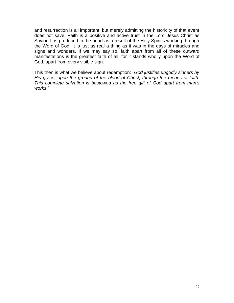and resurrection is all important, but merely admitting the historicity of that event does not save. Faith is a positive and active trust in the Lord Jesus Christ as Savior. It is produced in the heart as a result of the Holy Spirit's working through the Word of God. It is just as real a thing as it was in the days of miracles and signs and wonders. If we may say so, faith apart from all of these outward manifestations is the greatest faith of all; for it stands wholly upon the Word of God, apart from every visible sign.

This then is what we believe about redemption: *"God justifies ungodly sinners by His grace, upon the ground of the blood of Christ, through the means of faith. This complete salvation is bestowed as the free gift of God apart from man's works."*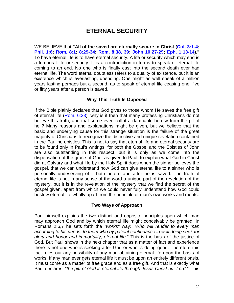# **ETERNAL SECURITY**

WE BELIEVE that **"All of the saved are eternally secure in Christ (Col. 3:1-4; Phil. 1:6; Rom. 8:1; 8:29-34; Rom. 8:38, 39; John 10:27-29; Eph. 1:13-14)."** To have eternal life is to have eternal security. A life or security which may end is a temporal life or security. It is a contradiction in terms to speak of eternal life coming to an end. No one who is finally cast into the second death ever had eternal life. The word eternal doubtless refers to a quality of existence, but it is an existence which is everlasting, unending. One might as well speak of a million years lasting perhaps but a second, as to speak of eternal life ceasing one, five or fifty years after a person is saved.

#### **Why This Truth Is Opposed**

If the Bible plainly declares that God gives to those whom He saves the free gift of eternal life (Rom. 6:23), why is it then that many professing Christians do not believe this truth, and that some even call it a damnable heresy from the pit of hell? Many reasons and explanations might be given, but we believe that the basic and underlying cause for this strange situation is the failure of the great majority of Christians to recognize the distinctive and unique revelation contained in the Pauline epistles. This is not to say that eternal life and eternal security are to be found only in Paul's writings; for both the Gospel and the Epistles of John are also outstanding in this respect, but it is only as we come into the dispensation of the grace of God, as given to Paul, to explain what God in Christ did at Calvary and what He by the Holy Spirit does when the sinner believes the gospel, that we can understand how God can give eternal life to a sinner who is personally undeserving of it both before and after he is saved. The truth of eternal life is not in any sense of the word a unique part of the revelation of the mystery, but it is in the revelation of the mystery that we find the secret of the gospel given, apart from which we could never fully understand how God could bestow eternal life wholly apart from the principle of man's own works and merits.

#### **Two Ways of Approach**

Paul himself explains the two distinct and opposite principles upon which man may approach God and by which eternal life might conceivably be granted. In Romans 2:6,7 he sets forth the *"works"* way*: "Who will render to every man according to his deeds: to them who by patient continuance in well doing seek for glory and honor and immortality, eternal life*." This is the basis of the justice of God. But Paul shows in the next chapter that as a matter of fact and experience there is not one who is seeking after God or who is doing good. Therefore this fact rules out any possibility of any man obtaining eternal life upon the basis of works. If any man ever gets eternal life it must be upon an entirely different basis. It must come as a matter of free grace and as a free gift. And that is exactly what Paul declares: "*the gift of God is eternal life through Jesus Christ our Lord."*' This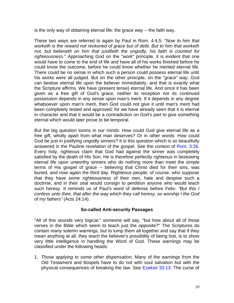is the only way of obtaining eternal life: the grace way -- the faith way.

These two ways are referred to again by Paul in Rom. 4:4,5: *"Now to him that worketh is the reward not reckoned of grace but of debt. But to him that worketh not, but believeth on him that justifieth the ungodly, his faith is counted for righteousness*." Approaching God on the "*work*" principle, it is evident that one would have to come to the end of life and have all of his works finished before he could know the outcome, before he could know whether he merited eternal life. There could be no sense in which such a person could possess eternal life until his works were all judged. But on the other principle, on the "*grace" way*, God can bestow eternal life upon the believer immediately, and that is exactly what the Scripture affirms. We have (present tense) eternal life. And since it has been given as a free gift of God's grace, neither its reception nor its continued possession depends in any sense upon man's merit. If it depends in any degree whatsoever upon man's merit, then God could not give it until man's merit had been completely tested and approved; for we have already seen that it is eternal in character and that it would be a contradiction on God's part to give something eternal which would later prove to be temporal.

But the big question looms in our minds: How could God give eternal life as a free gift, wholly apart from what man deserves? Or in other words: How could God be just in justifying ungodly sinners? It is this question which is so beautifully answered in the Pauline revelation of the gospel. See the context of Rom. 3:26. Every holy, righteous claim that God had against the sinner was completely satisfied by the death of His Son. He is therefore perfectly righteous in bestowing eternal life upon unworthy sinners who do nothing more than meet the simple terms of His gospel of grace -- believing that Christ died for their sins, was buried, and rose again the third day. Righteous people, of course, who suppose that they have some righteousness of their own, hate and despise such a doctrine, and in their zeal would consign to perdition anyone who would teach such heresy. It reminds us of Paul's word of defense before Felix: *"But this I confess unto thee, that after the way which they call heresy, so worship I the God of my fathers"* (Acts 24:14).

#### **So-called Anti-security Passages**

"All of this sounds very logical," someone will say, "but how about all of those verses in the Bible which seem to teach just the opposite?" The Scriptures do contain many solemn warnings, but to lump them all together and say that if they mean anything at all, they teach the believer's possibility of being lost, is to show very little intelligence in handling the Word of God. These warnings may be classified under the following heads:

1. *Those applying to some other dispensation*. Many of the warnings from the Old Testament and 6ospels have to do not with soul salvation but with the physical consequences of breaking the law. See Ezekiel 33:13. The curse of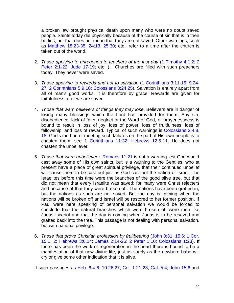a broken law brought physical death upon many who were no doubt saved people. Saints today die physically because of the course of sin that is in their bodies, but that does not mean that they are not saved. Other warnings, such as Matthew 18:23-35; 24:13; 25:30; etc., refer to a time after the church is taken out of the world.

- 2. *Those applying to unregenerate teachers of the last day* (1 Timothy 4:1,2; 2 Peter 2:1-22; Jude 17-19; etc .). Churches are filled with such preachers today. They never were saved.
- 3. *Those applying to rewards and not to salvation* (1 Corinthians 3:11-15; 9:24- 27; 2 Corinthians 5:9,10; Colossians 3:24,25). Salvation is entirely apart from all of man's good works. It is therefore by grace. Rewards are given for faithfulness after we are saved.
- 4. *Those that warn believers of things they may lose*. Believers are in danger of losing many blessings which the Lord has provided for them. Any sin, disobedience, lack of faith, neglect of the Word of God, or prayerlessness is bound to result in loss of joy, loss of power, loss of fruitfulness, loss of fellowship, and loss of reward. Typical of such warnings is Colossians 2:4,8, 18. God's method of meeting such failures on the part of His own people is to chasten them, see 1 Corinthians 11:32; Hebrews 12:5-11. He does not chasten the unbeliever.
- 5. *Those that warn unbelievers*. Romans 11:21 is not a warning lest God would cast away some of His own saints, but is a warning to the Gentiles, who at present have a place of great spiritual privilege, that their continued unbelief will cause them to be cast out just as God cast out the nation of Israel. The Israelites before this time were the branches of the good olive tree, but that did not mean that every Israelite was saved; for many were Christ rejecters and because of that they were broken off. The nations have been grafted in, but the nations as such are not saved. But the day is coming when the nations will be broken off and Israel will be restored to her former position. If Paul were here speaking of personal salvation we would be forced to conclude that the natural branches which were broken off were men like Judas Iscariot and that the day is coming when Judas is to be resaved and grafted back into the tree. This passage is not dealing with personal salvation, but with national privilege.
- 6. *Those that prove Christian profession by fruitbearing* (John 8:31; 15:6; 1 Cor. 15:1, 2; Hebrews 3:6,14; James 2:14-26; 2 Peter 1:10; Colossians 1:23). If there has been the work of regeneration in the heart there is bound to be a manifestation of that new divine life, just as surely as the newborn babe will cry or give some other indication that it is alive.

If such passages as Heb. 6:4-6; 10:26,27; Col. 1:21-23, Gal. 5:4; John 15:6 and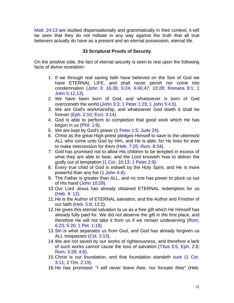Matt. 24:13 are studied dispensationally and grammatically in their context, it will be seen that they do not militate in any way against the truth that all true believers actually do have as a present and an eternal possession, eternal life.

#### **33 Scriptural Proofs of Security**

On the positive side, the fact of eternal security is seen to rest upon the following facts of divine revelation:

- 1. If we through real saving faith have believed on the Son of God we have ETERNAL LIFE, and shall never perish nor come into condemnation (John 3: 16,36; 5:24; 6:40,47; 10:28; Romans 8:1; 1 John 5:12,13).
- 2. We have been born of God, and whatsoever is born of God overcometh the world (John 3:3; 1 Peter 1:23; 1 John 5:4,5).
- 3. We are God's workmanship, and whatsoever God doeth it shall be forever (Eph. 2:10; Eccl. 3:14).
- 4. God is able to perform to completion that good work which He has begun in us (Phil. 1:6).
- 5. We are kept by God's power (1 Peter 1:5; Jude 24).
- 6. Christ as the great High-priest pledges Himself to save to the uttermost ALL who come unto God by Him, and He is able; for He lives for ever to make intercession for them (Heb. 7:25; Rom. 8:34).
- 7. God has promised not to allow His children to be tempted in excess of what they are able to bear, and the Lord knoweth how to deliver the godly out of temptation (1 Cor. 10:13; 1 Peter 2:9).
- 8. Every true child of God is indwelt by the Holy Spirit, and He is more powerful than any foe (1 John 4:4).
- 9. The Father is greater than ALL, and no one has power to pluck us out of His hand (John 10:29).
- 10.Our Lord Jesus has already obtained ETERNAL redemption for us (Heb. 9: 12).
- 11.He is the Author of ETERNAL salvation, and the Author and Finisher of our faith (Heb. 5:8; 12:2).
- 12.He gives this eternal salvation to us as a free gift which He Himself has already fully paid for. We did not deserve the gift in the first place, and therefore He will not take it from us if we remain undeserving (Rom. 6:23; 5:20; 1 Pet. 1:19).
- 13.Sin is what separates us from God, and God has already forgiven us ALL trespasses (Col. 2:13).
- 14.We are not saved by our works of righteousness, and therefore a lack of such works cannot cause the loss of salvation (Titus 3:5; Eph. 2:8; Rom. 3:28; 4:6).
- 15.Christ is our foundation, and that foundation standeth sure (1 Cor. 3:11; 2 Tim. 2:19).
- 16.He has promised: "*I will never leave thee, nor forsake thee*" (Heb.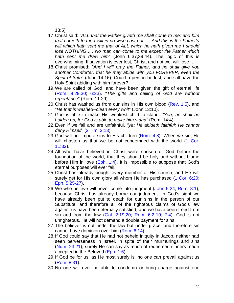13:5).

- 17.Christ said: "*ALL that the Father giveth me shall come to me; and him that cometh to me I will in no wise cast out .... And this is the Father's will which hath sent me that of ALL which he hath given me I should lose NOTHING .... No man can come to me except the Father which hath sent me draw him"* (John 6:37,39,44). The logic of this is overwhelming. If salvation is ever lost, Christ, and not we, will lose it.
- 18.Christ promised: *"And I will pray the Father, and he shall give you another Comforter, that he may abide with you FOREVER, even the Spirit of truth*" (John 14:16). Could a person be lost, and still have the Holy Spirit abiding with him forever?
- 19.We are called of God, and have been given the gift of eternal life (Rom. 8:29,30; 6:23). "*The gifts and calling of God are without repentance*" (Rom. 11:29).
- 20.Christ has washed us from our sins in His own blood (Rev. 1:5), and "*He that is washed--clean every whit*" (John 13:10).
- 21.God is able to make His weakest child to stand*. "Yea, he shall be holden up; for God is able to make him stand"* (Rom. 14:4).
- 22.Even if we fail and are unfaithful, *"yet He abideth faithful: He cannot deny Himself"* (2 Tim. 2:13).
- 23. God will not impute sins to His children (Rom. 4:8). When we sin, He will chasten us that we be not condemned with the world (1 Cor. 11:32).
- 24.All who have believed in Christ were chosen of God before the foundation of the world, that they should be holy and without blame before Him in love (Eph. 1:4). It is impossible to suppose that God's eternal purposes will ever fail.
- 25.Christ has already bought every member of His church, and He will surely get for His own glory all whom He has purchased (1 Cor. 6:20; Eph. 5:25-27).
- 26.We who believe will never come into judgment (John 5:24; Rom. 8:1), because Christ has already borne our judgment. In God's sight we have already been put to death for our sins in the person of our Substitute, and therefore all of the righteous claims of God's law against us have been eternally satisfied, and we have been freed from sin and from the law (Gal. 2:19,20; Rom. 6:2-10; 7:4). God is not unrighteous. He will not demand a double payment for sins.
- 27.The believer is not under the law but under grace, and therefore sin cannot have dominion over him (Rom. 6:14).
- 28.If God could say that He had not beheld iniquity in Jacob, neither had seen perverseness in Israel, in spite of their murmurings and sins (Num. 23:21), surely He can say as much of redeemed sinners made accepted in the Beloved (Eph. 1:6).
- 29.If God be for us, as He most surely is, no one can prevail against us (Rom. 8:31).
- 30.No one will ever be able to condemn or bring charge against one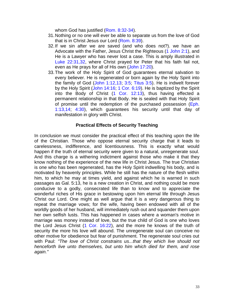whom God has justified (Rom. 8:32-34).

- 31.Nothing or no one will ever be able to separate us from the love of God that is in Christ Jesus our Lord (Rom. 8:39).
- 32.If we sin after we are saved (and who does not?). we have an Advocate with the Father, Jesus Christ the Righteous (1 John 2:1), and He is a Lawyer who has never lost a case. This is amply illustrated in Luke 22:31,32, where Christ prayed for Peter that his faith fail not, even as He prays for all of His own (John 17:20).
- 33.The work of the Holy Spirit of God guarantees eternal salvation to every believer. He is regenerated or born again by the Holy Spirit into the family of God (John 1:12,13; 3:5; Titus 3:5). He is indwelt forever by the Holy Spirit (John 14:16; 1 Cor. 6:19). He is baptized by the Spirit into the Body of Christ (1 Cor. 12:13), thus having effected a permanent relationship in that Body. He is sealed with that Holy Spirit of promise until the redemption of the purchased possession (Eph. 1:13,14; 4:30), which guarantees his security until that day of manifestation in glory with Christ.

#### **Practical Effects of Security Teaching**

In conclusion we must consider the practical effect of this teaching upon the life of the Christian. Those who oppose eternal security charge that it leads to carelessness, indifference, and licentiousness. This is exactly what would happen if the truth of eternal security were given to a natural, unregenerate soul. And this charge is a withering indictment against those who make it that they know nothing of the experience of the new life in Christ Jesus. The true Christian is one who has been regenerated, has the Holy Spirit indwelling his body, and is motivated by heavenly principles. While he still has the nature of the flesh within him, to which he may at times yield, and against which he is warned in such passages as Gal. 5:13, he is a new creation in Christ, and nothing could be more conducive to a godly, consecrated life than to know and to appreciate the wonderful riches of His grace in bestowing upon him eternal life through Jesus Christ our Lord. One might as well argue that it is a very dangerous thing to repeat the marriage vows; for the wife, having been endowed with all of the worldly goods of her husband, will immediately rush out and squander them upon her own selfish lusts. This has happened in cases where a woman's motive in marriage was money instead of love, but the true child of God is one who loves the Lord Jesus Christ (1 Cor. 16:22), and the more he knows of the truth of security the more his love will abound. The unregenerate soul can conceive no other motive for obedience but fear of punishment. The regenerate soul cries out with Paul: *"The love of Christ constrains us...that they which live should not henceforth live unto themselves, but unto him which died for them, and rose again."*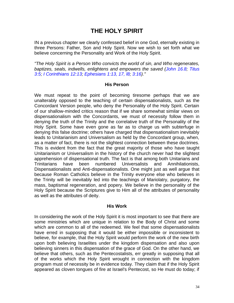# **THE HOLY SPIRIT**

IN a previous chapter we clearly confessed belief in one God, eternally existing in three Persons: Father, Son and Holy Spirit. Now we wish to set forth what we believe concerning the Personality and Work of the Holy Spirit.

*"The Holy Spirit is a Person Who convicts the world of sin, and Who regenerates, baptizes, seals, indwells, enlightens and empowers the saved (John 16.8; Titus 3:5; I Corinthians 12:13; Ephesians 1:13, 17, l8; 3:16)."*

#### **His Person**

We must repeat to the point of becoming tiresome perhaps that we are unalterably opposed to the teaching of certain dispensationalists, such as the Concordant Version people, who deny the Personality of the Holy Spirit. Certain of our shallow-minded critics reason that if we share somewhat similar views on dispensationalism with the Concordants, we must of necessity follow them in denying the truth of the Trinity and the correlative truth of the Personality of the Holy Spirit. Some have even gone as far as to charge us with subterfuge in denying this false doctrine; others have charged that dispensationalism inevitably leads to Unitarianism and Universalism as held by the Concordant group, when, as a matter of fact, there is not the slightest connection between these doctrines. This is evident from the fact that the great majority of those who have taught Unitarianism or Universalism in the history of the church never had the slightest apprehension of dispensational truth. The fact is that among both Unitarians and Trinitarians have been numbered Universalists and Annihilationists, Dispensationalists and Anti-dispensationalists. One might just as well argue that because Roman Catholics believe in the Trinity everyone else who believes in the Trinity will be inevitably led into the teachings of Mariolatry, purgatory, the mass, baptismal regeneration, and popery. We believe in the personality of the Holy Spirit because the Scriptures give to Him all of the attributes of personality as well as the attributes of deity.

#### **His Work**

In considering the work of the Holy Spirit it is most important to see that there are some ministries which are unique in relation to the Body of Christ and some which are common to all of the redeemed. We feel that some dispensationalists have erred in supposing that it would be either impossible or inconsistent to believe, for example, that the Holy Spirit would perform the work of the new birth upon both believing Israelites under the kingdom dispensation and also upon believing sinners in this dispensation of the grace of God. On the other hand, we believe that others, such as the Pentecostalists, err greatly in supposing that all of the works which the Holy Spirit wrought in connection with the kingdom program must of necessity be in evidence today. They claim that if the Holy Spirit appeared as cloven tongues of fire at Israel's Pentecost, so He must do today; if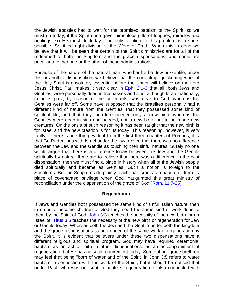the Jewish apostles had to wait for the promised baptism of the Spirit, so we must do today; if the Spirit once gave miraculous gifts of tongues, miracles and healings, so He must do today. The only solution to this problem is a sane, sensible, Spirit-led right division of the Word of Truth. When this is done we believe that it will be seen that certain of the Spirit's ministries are for all of the redeemed of both the kingdom and the grace dispensations, and some are peculiar to either one or the other of these administrations.

Because of the nature of the natural man, whether he be Jew or Gentile, under this or another dispensation, we believe that the convicting, quickening work of the Holy Spirit is absolutely essential before the sinner will believe on the Lord Jesus Christ. Paul makes it very clear in Eph. 2:1-3 that all, both Jews and Gentiles, were personally dead in trespasses and sins, although Israel nationally, in times past, by reason of the covenants, was near to God, whereas the Gentiles were far off. Some have supposed that the Israelites personally had a different kind of nature from the Gentiles, that they possessed some kind of spiritual life, and that they therefore needed only a new birth, whereas the Gentiles were dead in sins and needed, not a new birth, but to be made new creatures. On the basis of such reasoning it has been taught that the new birth is for Israel and the new creation is for us today. This reasoning, however, is very faulty. If there is one thing evident from the first three chapters of Romans, it is that God's dealings with Israel under the law proved that there was no difference between the Jew and the Gentile as touching their sinful natures. Surely no one would argue that there is a difference today between the Jew and the Gentile spiritually by nature. If we are to believe that there was a difference in the past dispensation, then we must find a place in history when all of the Jewish people died spiritually and became as Gentiles. Such a notion is foreign to the Scriptures. But the Scriptures do plainly teach that Israel as a nation fell from its place of covenanted privilege when God inaugurated this great ministry of reconciliation under the dispensation of the grace of God (Rom. 11:7-25).

#### **Regeneration**

If Jews and Gentiles both possessed the same kind of sinful, fallen nature, then in order to become children of God they need the same kind of work done to them by the Spirit of God. John 3:3 teaches the necessity of the new birth for an Israelite. Titus 3:5 teaches the necessity of the new birth or regeneration for Jew or Gentile today. Whereas both the Jew and the Gentile under both the kingdom and the grace dispensations stand in need of the same work of regeneration by the Spirit, it is evident that believers under these two dispensations have a different religious and spiritual program. God may have required ceremonial baptism as an act of faith in other dispensations, as an accompaniment of regeneration, but He has no such requirement today. Some of our grace brethren may feel that being "born of water and of the Spirit" in John 3:5 refers to water baptism in connection with the work of the Spirit, but it should be noticed that under Paul, who was not sent to baptize, regeneration is also connected with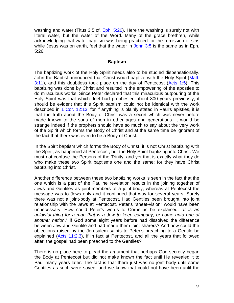washing and water (Titus 3:5 cf. Eph. 5:26). Here the washing is surely not with literal water, but the water of the Word. Many of the grace brethren, while acknowledging that water baptism was being practiced for the remission of sins while Jesus was on earth, feel that the water in John 3:5 is the same as in Eph. 5:26.

#### **Baptism**

The baptizing work of the Holy Spirit needs also to be studied dispensationally. John the Baptist announced that Christ would baptize with the Holy Spirit (Matt.  $3:11$ ), and this doubtless took place on the day of Pentecost (Acts 1:5). This baptizing was done by Christ and resulted in the empowering of the apostles to do miraculous works. Since Peter declared that this miraculous outpouring of the Holy Spirit was that which Joel had prophesied about 800 years previously, it should be evident that this Spirit baptism could not be identical with the work described in 1 Cor. 12:13; for if anything is plainly stated in Paul's epistles, it is that the truth about the Body of Christ was a secret which was never before made known to the sons of men in other ages and generations. It would be strange indeed if the prophets should have so much to say about the very work of the Spirit which forms the Body of Christ and at the same time be ignorant of the fact that there was even to be a Body of Christ.

In the Spirit baptism which forms the Body of Christ, it is not Christ baptizing with the Spirit, as happened at Pentecost, but the Holy Spirit baptizing into Christ. We must not confuse the Persons of the Trinity, and yet that is exactly what they do who make these two Spirit baptisms one and the same; for they have Christ baptizing into Christ.

Another difference between these two baptizing works is seen in the fact that the one which is a part of the Pauline revelation results in the joining together of Jews and Gentiles as joint-members of a joint-body; whereas at Pentecost the message was to Jews only and it continued that way for several years. Surely there was not a joint-body at Pentecost. Had Gentiles been brought into joint relationship with the Jews at Pentecost, Peter's "sheet-vision" would have been unnecessary. How could Peter's words to Cornelius be explained: *"It is an unlawful thing for a man that is a Jew to keep company, or come unto one of another nation*," if God some eight years before had dissolved the difference between Jew and Gentile and had made them joint-sharers? And how could the objections raised by the Jerusalem saints to Peter's preaching to a Gentile be explained (Acts 11:2,3), if in fact at Pentecost, and all the years that followed after, the gospel had been preached to the Gentiles?

There is no place here to plead the argument that perhaps God secretly began the Body at Pentecost but did not make known the fact until He revealed it to Paul many years later. The fact is that there just was no joint-body until some Gentiles as such were saved, and we know that could not have been until the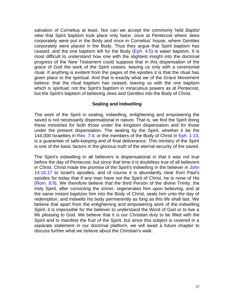salvation of Cornelius at least. Nor can we accept the commonly held *Baptist view* that Spirit baptism took place only twice, once at Pentecost where Jews corporately were put in the Body and once in Cornelius' house, where Gentiles corporately were placed in the Body. Thus they argue that Spirit baptism has ceased, and the one baptism left for the Body  $(Eph. 4:5)$  is water baptism. It is most difficult to understand how one with the slightest insight into the doctrinal progress of the New Testament could suppose that in this dispensation of the grace of God the work of the Spirit ceases, leaving us only with a ceremonial ritual. If anything is evident from the pages of the epistles it is that the ritual has given place to the spiritual. And that is exactly what we of the Grace Movement believe: that the ritual baptism has ceased, leaving us with the one baptism which is spiritual; not the Spirit's baptism in miraculous powers as at Pentecost, but the Spirit's baptism of believing Jews and Gentiles into the Body of Christ.

#### **Sealing and lndwelling**

The work of the Spirit in sealing, indwelling, enlightening and empowering the saved is not necessarily dispensational in nature. That is, we find the Spirit doing these ministries for both those under the kingdom dispensation and for those under the present dispensation. The sealing by the Spirit, whether it be the 144,000 Israelites in Rev. 7:4, or the members of the Body of Christ in Eph. 1:13, is a guarantee of safe-keeping and of final deliverance. This ministry of the Spirit is one of the basic factors in the glorious truth of the eternal security of the saved.

The Spirit's indwelling in all believers is dispensational in that it was not true before the day of Pentecost, but since that time it is doubtless true of all believers in Christ. Christ made the promise of the Spirit's indwelling in the believer in John 14:16,17 to Israel's apostles, and of course it is abundantly clear from Paul's epistles for today that if any man have not the Spirit of Christ, he is none of His (Rom. 8:9). We therefore believe that the third Person of the divine Trinity, the Holy Spirit, after convicting the sinner, regenerates him upon believing, and at the same instant baptizes him into the Body of Christ, seals him unto the day of redemption, and indwells his body permanently as long as this life shall last. We believe that apart from the enlightening and empowering work of the indwelling Spirit, it is impossible for the believer to understand the Word of God or to live a life pleasing to God. We believe that it is our Christian duty to be filled with the Spirit and to manifest the fruit of the Spirit, but since this subject is covered in a separate statement in our doctrinal platform, we will await a future chapter to discuss further what we believe about the Christian's walk.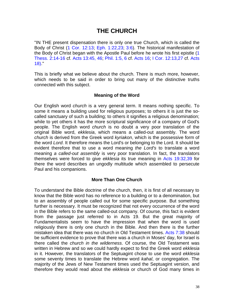# **THE CHURCH**

"IN THE present dispensation there is only one true Church, which is called the Body of Christ (1 Cor. 12:13; Eph. 1:22,23; 3:6). The historical manifestation of the Body of Christ began with the Apostle Paul before he wrote his first epistle (1 Thess. 2:14-16 cf. Acts 13:45, 46; Phil. 1:5, 6 cf. Acts 16; I Cor. 12:13,27 cf. Acts 18)."

This is briefly what we believe about the church. There is much more, however, which needs to be said in order to bring out many of the distinctive truths connected with this subject.

#### **Meaning of the Word**

Our English word *church* is a very general term. It means nothing specific. To some it means a building used for religious purposes; to others it is just the socalled sanctuary of such a building; to others it signifies a religious denomination; while to yet others it has the more scriptural significance of a company of God's people. The English word *church* is no doubt a very poor translation of the original Bible word, *ekklesia*, which means a called-out assembly. The word *church* is derived from the Greek word *kyriakon*, which is the possessive form of the word *Lord*. It therefore means the Lord's or belonging to the Lord. It should be evident therefore that to use a word meaning *the Lord's* to translate a word meaning *a called-out assembly* is very poor translation. In fact, the translators themselves were forced to give *ekklesia* its true meaning in Acts 19:32,39 for there the word describes an ungodly multitude which assembled to persecute Paul and his companions.

#### **More Than One Church**

To understand the Bible doctrine of the church, then, it is first of all necessary to know that the Bible word has no reference to a building or to a denomination, but to an assembly of people called out for some specific purpose. But something further is necessary. It must be recognized that not every occurrence of the word in the Bible refers to the same called-out company. Of course, this fact is evident from the passage just referred to in Acts 19. But the great majority of Fundamentalists seem to have the impression that when the word is used religiously there is only one church in the Bible. And then there is the further mistaken idea that there was no church in Old Testament times. Acts 7:38 should be sufficient evidence to prove that there was a church in Moses' day, for Israel is there called the *church in the wilderness*. Of course, the Old Testament was written in Hebrew and so we could hardly expect to find the Greek word *ekklesia* in it. However, the translators of the Septuagint chose to use the word *ekklesia* some seventy times to translate the Hebrew word *kahal*, or congregation. The majority of the Jews of New Testament times used the Septuagint version, and therefore they would read about the *ekklesia* or church of God many times in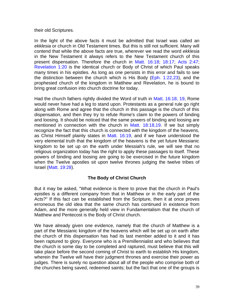their old Scriptures.

In the light of the above facts it must be admitted that Israel was called an *ekklesia* or church in Old Testament times. But this is still not sufficient. Many will contend that while the above facts are true, wherever we read the word *ekklesia* in the New Testament it always refers to the New Testament church of this present dispensation. Therefore the church in Matt. 16:18; 18:17; Acts 2:47; Revelation 1:20 is the identical church or Body of Christ of which Paul speaks many times in his epistles. As long as one persists in this error and fails to see the distinction between the church which is His Body ( $Eph. 1:22,23$ ), and the prophesied church of the kingdom in Matthew and Revelation, he is bound to bring great confusion into church doctrine for today.

Had the church fathers rightly divided the Word of truth in Matt. 16:18, 19, Rome would never have had a leg to stand upon. Protestants as a general rule go right along with Rome and agree that the church in this passage is the church of this dispensation, and then they try to refute Rome's claim to the powers of binding and loosing. It should be noticed that the same powers of binding and loosing are mentioned in connection with the church in Matt. 18:18,19. If we but simply recognize the fact that this church is connected with the kingdom of the heavens, as Christ Himself plainly states in Matt. 16:19, and if we have understood the very elemental truth that the kingdom of the heavens is the yet future Messianic kingdom to be set up on the earth under Messiah's rule, we will see that no religious organization today has the right to apply these passages to itself. These powers of binding and loosing are going to be exercised in the future kingdom when the Twelve apostles sit upon twelve thrones judging the twelve tribes of Israel (Matt. 19:28).

#### **The Body of Christ Church**

But it may be asked, "What evidence is there to prove that the church in Paul's epistles is a different company from that in Matthew or in the early part of the Acts?" If this fact can be established from the Scripture, then it at once proves erroneous the old idea that the same church has continued in existence from Adam, and the more generally held view in Fundamentalism that the church of Matthew and Pentecost is the Body of Christ church.

We have already given one evidence, namely that the church of Matthew is a part of the Messianic kingdom of the heavens which will be set up on earth after the church of this dispensation has had its last member added to it and it has been raptured to glory. Everyone who is a Premillennialist and who believes that the church is some day to be completed and raptured, must believe that this will take place before the second coming of Christ to earth to establish His kingdom, wherein the Twelve will have their judgment thrones and exercise their power as judges. There is surely no question about all of the people who comprise both of the churches being saved, redeemed saints; but the fact that one of the groups is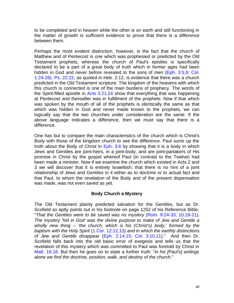to be completed and in heaven while the other is on earth and still functioning in the matter of growth is sufficient evidence to prove that there is a difference between them.

Perhaps the most evident distinction, however, is the fact that the church of Matthew and of Pentecost is one which was prophesied or predicted by the Old Testament prophets, whereas the church of Paul's epistles is specifically declared to be a part of a great body of truth which in former ages had been hidden in God and never before revealed to the sons of men (Eph. 3:5,9; Col. 1:24-26). Ps. 22:22, as quoted in Heb. 2:12, is evidence that there was a church predicted in the Old Testament scripture. The kingdom of the heavens with which this church is connected is one of the main burdens of prophecy. The words of the Spirit-filled apostle in Acts 3:21,24 show that everything that was happening at Pentecost and thereafter was in fulfillment of the prophets. Now if that which was spoken by the mouth of all of the prophets is identically the same as that which was hidden in God and never made known to the prophets, we can logically say that the two churches under consideration are the same. If the above language indicates a difference, then we must say that there is a difference.

One has but to compare the main characteristics of the church which is Christ's Body with those of the kingdom church to see the difference. Paul sums up the troth about the Body of Christ in  $Eph. 3.6$  by showing that it is a body in which Jews and Gentiles are joint-heirs, in a joint-body, and are joint-partakers of His promise in Christ by the gospel whereof Paul (in contrast to the Twelve) had been made a minister. Now if we examine the church which existed in Acts 2 and 3 we will discover that it is entirely lsraelitish; that there is no hint of a joint relationship of Jews and Gentiles in it either as to doctrine or to actual fact and that Paul, to whom the revelation of the Body and of the present dispensation was made, was not even saved as yet.

#### **Body Church a Mystery**

The Old Testament plainly predicted salvation for the Gentiles, but as Dr. Scofield so aptly points out in his footnote on page 1252 of his Reference Bible, "*That the Gentiles were to be saved was no mystery* (Rom. 9:24-33; 10:19-21). *The mystery 'hid in God' was the divine purpose to make of Jew and Gentile a wholly new thing -- 'the church, which is his (Christ's) body,' formed by the baptism with the Holy Spirit* (1 Cor. 12:12,13*) and in which the earthly distinctions of Jew and Gentile disappear* (Eph. 2:14,15; Col. 3:10,11)." And then Dr. Scofield falls back into the old basic error of exegesis and tells us that the revelation of this mystery which was committed to Paul was foretold by Christ in Matt. 16:18. But then he goes on to state a further truth: "*in his [Paul's] writings alone we find the doctrine, position, walk, and destiny of the church*."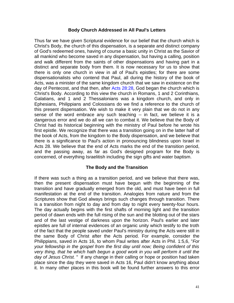#### **Body Church Addressed in All Paul's Letters**

Thus far we have given Scriptural evidence for our belief that the church which is Christ's Body, the church of this dispensation, is a separate and distinct company of God's redeemed ones, having of course a basic unity in Christ as the Savior of all mankind who become saved in any dispensation, but having a calling, position and walk different from the saints of other dispensations and having part in a distinct and separate body from them. It is now necessary for us to show that there is only one church in view in all of Paul's epistles; for there are some dispensationalists who contend that Paul, all during the history of the book of Acts, was a minister of the same kingdom church that we saw in existence on the day of Pentecost, and that then, after Acts 28:28, God began the church which is Christ's Body. According to this view the church in Romans, 1 and 2 Corinthians, Galatians, and 1 and 2 Thessalonians was a kingdom church, and only in Ephesians, Philippians and Colossians do we find a reference to the church of this present dispensation. We wish to make it very plain that we do not in any sense of the word embrace any such teaching -- in fact, we believe it is a dangerous error and we do all we can to combat it. We believe that the Body of Christ had its historical beginning with the ministry of Paul before he wrote his first epistle. We recognize that there was a transition going on in the latter half of the book of Acts, from the kingdom to the Body dispensation, and we believe that there is a significance to Paul's action in pronouncing blindness upon Israel in Acts 28. We believe that the end of Acts marks the end of the transition period, and the passing away, as far as God's designed program for the Body is concerned, of everything Israelitish including the sign gifts and water baptism.

#### **The Body and the Transition**

If there was such a thing as a transition period, and we believe that there was, then the present dispensation must have begun with the beginning of the transition and have gradually emerged from the old, and must have been in full manifestation at the end of the transition. Analogies from nature and from the Scriptures show that God always brings such changes through transition. There is a transition from night to day and from day to night every twenty-four hours. The day actually begins with the first shafts of morning light and the transition period of dawn ends with the full rising of the sun and the blotting out of the stars and of the last vestige of darkness upon the horizon. Paul's earlier and later epistles are full of internal evidences of an organic unity which testify to the troth of the fact that the people saved under Paul's ministry during the Acts were still in the same Body of Christ after the Acts period. For example, consider the Philippians, saved in Acts 16, to whom Paul writes after Acts in Phil. 1:5,6, "*For your fellowship in the gospel from the first day until now; Being confident of this very thing, that he which hath begun a good work in you will perform it until the day of Jesus Christ.* " If any change in their calling or hope or position had taken place since the day they were saved in Acts 16, Paul didn't know anything about it. In many other places in this book will be found further answers to this error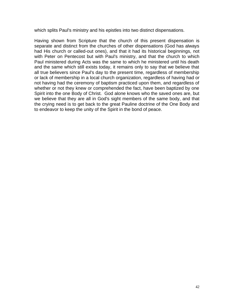which splits Paul's ministry and his epistles into two distinct dispensations.

Having shown from Scripture that the church of this present dispensation is separate and distinct from the churches of other dispensations (God has always had His church or called-out ones), and that it had its historical beginnings, not with Peter on Pentecost but with Paul's ministry, and that the church to which Paul ministered during Acts was the same to which he ministered until his death and the same which still exists today, it remains only to say that we believe that all true believers since Paul's day to the present time, regardless of membership or lack of membership in a local church organization, regardless of having had or not having had the ceremony of baptism practiced upon them, and regardless of whether or not they knew or comprehended the fact, have been baptized by one Spirit into the one Body of Christ. God alone knows who the saved ones are, but we believe that they are all in God's sight members of the same body, and that the crying need is to get back to the great Pauline doctrine of the One Body and to endeavor to keep the unity of the Spirit in the bond of peace.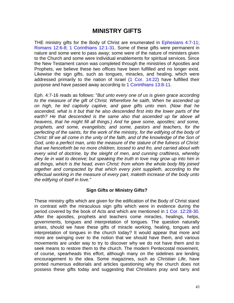## **MINISTRY GIFTS**

THE ministry gifts for the Body of Christ are enumerated in Ephesians 4:7-11; Romans 12:6-8; 1 Corinthians 12:1-31. Some of these gifts were permanent in nature and some were to pass away; some were of the nature of ministers given to the Church and some were individual enablements for spiritual services. Since the New Testament canon was completed through the ministries of Apostles and Prophets, we believe these two offices have been fulfilled and no longer exist. Likewise the sign gifts, such as tongues, miracles, and healing, which were addressed primarily to the nation of Israel (1 Cor. 14:22) have fulfilled their purpose and have passed away according to 1 Corinthians 13:8-11.

Eph. 4:7-16 reads as follows: "*But unto every one of us is given grace according to the measure of the gift of Christ. Wherefore he saith, When he ascended up on high, he led captivity captive, and gave gifts unto men. (Now that he ascended, what is it but that he also descended first into the lower parts of the earth? He that descended is the same also that ascended up far above all heavens, that he might fill all things.) And he gave some, apostles; and some, prophets, and some, evangelists; and some, pastors and teachers, for the perfecting of the saints, for the work of the ministry, for the edifying of the body of Christ: till we all come in the unity of the faith, and of the knowledge of the Son of God, unto a perfect man, unto the measure of the stature of the fulness of Christ: that we henceforth be no more children, tossed to and fro, and carried about with every wind of doctrine, by the sleight of men, and cunning craftiness, whereby they lie in wait to deceive; but speaking the truth in love may grow up into him in all things, which is the head, even Christ: from whom the whole body fitly joined together and compacted by that which every joint supplieth, according to the effectual working in the measure of every part, maketh increase of the body unto the edifying of itself in love."*

#### **Sign Gifts or Ministry Gifts?**

These ministry gifts which are given for the edification of the Body of Christ stand in contrast with the miraculous sign gifts which were in evidence during the period covered by the book of Acts and which are mentioned in 1 Cor. 12:28-30. After the apostles, prophets and teachers come miracles, healings, helps, governments, tongues and interpretation of tongues. The question naturally arises, should we have these gifts of miracle working, healing, tongues and interpretation of tongues in the church today? It would appear that more and more are swinging over to the notion that we should have them, and various movements are under way to try to discover why we do not have them and to seek means to restore them to the church. The modern Pentecostal movement, of course, spearheads this effort, although many on the sidelines are lending encouragement to the idea. Some magazines, such as *Christian Life*, have printed numerous editorials and articles questioning why the church does not possess these gifts today and suggesting that Christians pray and tarry and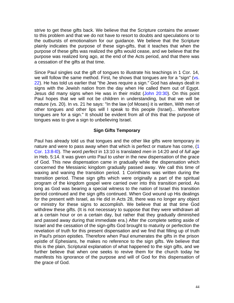strive to get these gifts back. We believe that the Scripture contains the answer to this problem and that we do not have to resort to doubts and speculations or to the outbursts of emotionalism for our guidance. We believe that the Scripture plainly indicates the purpose of these sign-gifts, that it teaches that when the purpose of these gifts was realized the gifts would cease, and we believe that the purpose was realized long ago, at the end of the Acts period, and that there was a cessation of the gifts at that time.

Since Paul singles out the gift of tongues to illustrate his teachings in 1 Cor. 14, we will follow the same method. First, he shows that tongues are for a "sign" (vs. 22). He has told us earlier that "the Jews require a sign." God has always dealt in signs with the Jewish nation from the day when He called them out of Egypt. Jesus did many signs when He was in their midst (John 20:30). On this point Paul hopes that we will not be children in understanding, but that we will be mature (vs. 20). In vs. 21 he says: "In the law (of Moses) it is written, With men of other tongues and other lips will I speak to this people (Israel)... Wherefore tongues are for a sign." It should be evident from all of this that the purpose of tongues was to give a sign to unbelieving Israel.

#### **Sign Gifts Temporary**

Paul has already told us that tongues and the other like gifts were temporary in nature and were to pass away when that which is perfect or mature has come, (1 Cor. 13:8-l0). The word *perfect* in 13:10 is translated *men* in 14:20 and of *full age* in Heb. 5:14. It was given unto Paul to usher in the new dispensation of the grace of God. This new dispensation came in gradually while the dispensation which concerned the Messianic kingdom gradually passed away. We call this time of waxing and waning the transition period. 1 Corinthians was written during the transition period. These sign gifts which were originally a part of the spiritual program of the kingdom gospel were carried over into this transition period. As long as God was bearing a special witness to the nation of Israel this transition period continued and the sign gifts continued. When God wound up His dealings for the present with Israel, as He did in Acts 28, there was no longer any object or ministry for these signs to accomplish. We believe that at that time God withdrew these gifts. (It is not necessary to suppose that they were withdrawn all at a certain hour or on a certain day, but rather that they gradually diminished and passed away during that immediate era.) After the complete setting aside of Israel and the cessation of the sign-gifts God brought to maturity or perfection the revelation of truth for this present dispensation and we find that filling up of truth in Paul's prison epistles. Therefore when Paul enumerates the gifts in the prison epistle of Ephesians, he makes no reference to the sign gifts. We believe that this is the plain, Scriptural explanation of what happened to the sign gifts, and we further believe that when one seeks to revive them for the church today he manifests his ignorance of the purpose and will of God for this dispensation of the grace of God.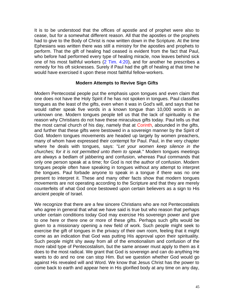It is to be understood that the offices of apostle and of prophet were also to cease, but for a somewhat different reason. All that the apostles or the prophets had to give to the Body of Christ is now written down in the Scripture. At the time Ephesians was written there was still a ministry for the apostles and prophets to perform. That the gift of healing had ceased is evident from the fact that Paul, who before had performed every type of healing miracle, now leaves behind sick one of his most faithful workers (2 Tim. 4:20), and for another he prescribes a remedy for his oft sicknesses. Surely if Paul had the gift of healing at that time he would have exercised it upon these most faithful fellow-workers.

#### **Modern Attempts to Revive Sign Gifts**

Modern Pentecostal people put the emphasis upon tongues and even claim that one does not have the Holy Spirit if he has not spoken in tongues. Paul classifies tongues as the least of the gifts, even when it was in God's will, and says that he would rather speak five words in a known tongue than 10,000 words in an unknown one. Modern tongues people tell us that the lack of spirituality is the reason why Christians do not have these miraculous gifts today. Paul tells us that the most carnal church of his day, namely that at Corinth, abounded in the gifts, and further that these gifts were bestowed in a sovereign manner by the Spirit of God. Modern tongues movements are headed up largely by women preachers, many of whom have expressed their contempt for Paul. Paul, in the very chapter where he deals with tongues, says: "*Let your women keep silence in the churches; for it is not permitted unto them to speak*." Modern tongues meetings are always a bedlam of jabbering and confusion, whereas Paul commands that only one person speak at a time; for God is not the author of confusion. Modern tongues people often have speaking in tongues without any attempt to interpret the tongues. Paul forbade anyone to speak in a tongue if there was no one present to interpret it. These and many other facts show that modern tongues movements are not operating according to the Scripture and that they are merely counterfeits of what God once bestowed upon certain believers as a sign to His ancient people of Israel.

We recognize that there are a few sincere Christians who are not Pentecostalists who agree in general that what we have said is true but who reason that perhaps under certain conditions today God may exercise His sovereign power and give to one here or there one or more of these gifts. Perhaps such gifts would be given to a missionary opening a new field of work. Such people might seek to exercise the gift of tongues in the privacy of their own room, feeling that it might come as an indication that God was putting His approval upon their spirituality. Such people might shy away from all of the emotionalism and confusion of the more rabid type of Pentecostalism, but the same answer must apply to them as it does to the most radical. We grant that God is sovereign and can do anything He wants to do and no one can stop Him. But we question whether God would go against His revealed will and Word. We know that Jesus Christ has the power to come back to earth and appear here in His glorified body at any time on any day,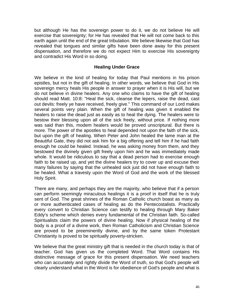but although He has the sovereign power to do it, we do not believe He will exercise that sovereignty; for He has revealed that He will not come back to this earth again until the end of the great tribulation. We believe likewise that God has revealed that tongues and similar gifts have been done away for this present dispensation, and therefore we do not expect Him to exercise His sovereignty and contradict His Word in so doing.

#### **Healing Under Grace**

We believe in the kind of healing for today that Paul mentions in his prison epistles, but not in the gift of healing. In other words, we believe that God in His sovereign mercy heals His people in answer to prayer when it is His will, but we do not believe in divine healers. Any one who claims to have the gift of healing should read Matt. 10:8: "Heal the sick, cleanse the lepers, raise the dead, cast out devils: freely ye have received, freely give." This command of our Lord makes several points very plain. When the gift of healing was given it enabled the healers to raise the dead just as easily as to heal the dying. The healers were to bestow their blessing upon all of the sick freely, without price. If nothing more was said than this, modem healers would be proved unscriptural. But there is more. The power of the apostles to heal depended not upon the faith of the sick, but upon the gift of healing. When Peter and John healed the lame man at the Beautiful Gate, they did not ask him for a big offering and tell him if he had faith enough he could be healed. Instead, he was asking money from them, and they bestowed the divinely given gift freely upon him and he was immediately made whole. It would be ridiculous to say that a dead person had to exercise enough faith to be raised up, and yet the divine healers try to cover up and excuse their many failures by saying that the unhealed sick just did not have enough faith to be healed. What a travesty upon the Word of God and the work of the blessed Holy Spirit.

There are many, and perhaps they are the majority, who believe that if a person can perform seemingly miraculous healings it is a proof in itself that he is truly sent of God. The great shrines of the Roman Catholic church boast as many as or more authenticated cases of healing as do the Pentecostalists. Practically every convert to Christian Science can testify to healing through Mary Baker Eddy's scheme which denies every fundamental of the Christian faith. So-called Spiritualists claim the powers of divine healing. Now if physical healing of the body is a proof of a divine work, then Roman Catholicism and Christian Science are proved to be preeminently divine, and by the same token Protestant Christianity is proved to be spiritually poverty-stricken.

We believe that the great ministry gift that is needed in the church today is that of teacher. God has given us the completed Word. That Word contains His distinctive message of grace for this present dispensation. We need teachers who can accurately and rightly divide the Word of truth, so that God's people will clearly understand what in the Word is for obedience of God's people and what is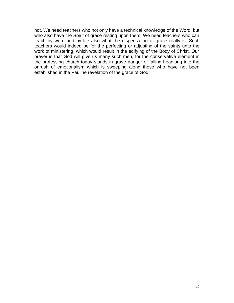not. We need teachers who not only have a technical knowledge of the Word, but who also have the Spirit of grace resting upon them. We need teachers who can teach by word and by life also what the dispensation of grace really is. Such teachers would indeed be for the perfecting or adjusting of the saints unto the work of ministering, which would result in the edifying of the Body of Christ. Our prayer is that God will give us many such men, for the conservative element in the professing church today stands in grave danger of falling headlong into the onrush of emotionalism which is sweeping along those who have not been established in the Pauline revelation of the grace of God.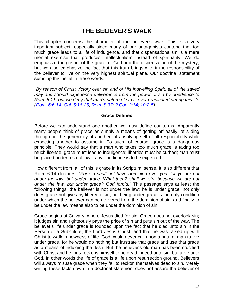# **THE BELIEVER'S WALK**

This chapter concerns the character of the believer's walk. This is a very important subject, especially since many of our antagonists contend that too much grace leads to a life of indulgence, and that dispensationalism is a mere mental exercise that produces intellectualism instead of spirituality. We do emphasize the gospel of the grace of God and the dispensation of the mystery, but we also emphasize the fact that this truth brings with it the responsibility of the believer to live on the very highest spiritual plane. Our doctrinal statement sums up this belief in these words:

*"By reason of Christ victory over sin and of His indwelling Spirit, all of the saved may and should experience deliverance from the power of sin by obedience to Rom. 6:11, but we deny that man's nature of sin is ever eradicated during this life (Rom. 6:6-14; Gal. 5:16-25; Rom. 8:37; 2 Cor. 2:14; 10:2-5)."*

#### **Grace Defined**

Before we can understand one another we must define our terms. Apparently many people think of grace as simply a means of getting off easily, of sliding through on the generosity of another, of absolving self of all responsibility while expecting another to assume it. To such, of course, grace is a dangerous principle. They would say that a man who takes too much grace is taking too much license; grace must lead to indulgence; liberties must be curbed; man must be placed under a strict law if any obedience is to be expected.

How different from .all of this is grace in its Scriptural sense. It is so different that Rom. 6:14 declares: *"For sin shall not have dominion over you: for ye are not under the law, but under grace. What then? shall we sin, because we are not under the law, but under grace? God forbid."* This passage says at least the following things: the believer is not under the law; he is under grace; not only does grace not give any liberty to sin, but being under grace is the only condition under which the believer can be delivered from the dominion of sin; and finally to be under the law means also to be under the dominion of sin.

Grace begins at Calvary, where Jesus died for sin. Grace does not overlook sin; it judges sin and righteously pays the price of sin and puts sin out of the way. The believer's life under grace is founded upon the fact that he died unto sin in the Person of a Substitute, the Lord Jesus Christ, and that he was raised up with Christ to walk in newness of life. God would never call upon a natural man to live under grace, for he would do nothing but frustrate that grace and use that grace as a means of indulging the flesh. But the believer's old man has been crucified with Christ and he thus reckons himself to be dead indeed unto sin, but alive unto God. In other words the life of grace is a life upon resurrection ground. Believers will always misuse grace when they fail to reckon themselves dead to sin. Merely writing these facts down in a doctrinal statement does not assure the believer of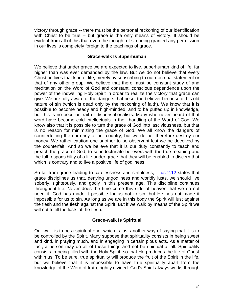victory through grace -- there must be the personal reckoning of our identification with Christ to be true -- but grace is the only means of victory. It should be evident from all of this that even the thought of sin being granted any permission in our lives is completely foreign to the teachings of grace.

#### **Grace-walk Is Superhuman**

We believe that under grace we are expected to live, superhuman kind of life, far higher than was ever demanded by the law. But we do not believe that every Christian lives that kind of life, merely by subscribing to our doctrinal statement or that of any other group. We believe that there must be constant study of and meditation on the Word of God and constant, conscious dependence upon the power of the indwelling Holy Spirit in order to realize the victory that grace can give. We are fully aware of the dangers that beset the believer because of his old nature of sin (which is dead only by the reckoning of faith). We know that it is possible to become heady and high-minded, and to be puffed up in knowledge, but this is no peculiar trait of dispensationalists. Many who never heard of that word have become cold intellectuals in their handling of the Word of God. We know also that it is possible to turn the grace of God into lasciviousness, but that is no reason for minimizing the grace of God. We all know the dangers of counterfeiting the currency of our country, but we do not therefore destroy our money. We rather caution one another to be observant lest we be deceived by the counterfeit. And so we believe that it is our duty constantly to teach and preach the grace of God, to so indoctrinate believers with the true meaning and the full responsibility of a life under grace that they will be enabled to discern that which is contrary and to live a positive life of godliness.

So far from grace leading to carelessness and sinfulness, Titus 2:12 states that grace disciplines us that, denying ungodliness and worldly lusts, we should live soberly, righteously, and godly in this present age. This discipline continues throughout life. Never does the time come this side of heaven that we do not need it. God has made it possible for us not to sin, but He has not made it impossible for us to sin. As long as we are in this body the Spirit will lust against the flesh and the flesh against the Spirit. But if we walk by means of the Spirit we will not fulfill the lusts of the flesh.

#### **Grace-walk Is Spiritual**

Our walk is to be a spiritual one, which is just another way of saying that it is to be controlled by the Spirit. Many suppose that spirituality consists in being sweet and kind, in praying much, and in engaging in certain pious acts. As a matter of fact, a person may do all of these things and not be spiritual at all. Spirituality consists in being filled with the Holy Spirit, so that He produces the life of Christ within us. To be sure, true spirituality will produce the fruit of the Spirit in the life, but we believe that it is impossible to have true spirituality apart from the knowledge of the Word of truth, rightly divided. God's Spirit always works through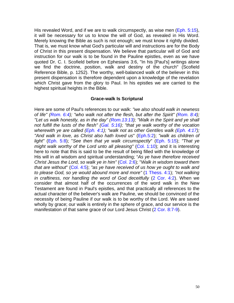His revealed Word, and if we are to walk circumspectly, as wise men (Eph. 5:15), it will be necessary for us to know the will of God, as revealed in His Word. Merely knowing the Bible as such is not enough; we must know it rightly divided. That is, we must know what God's particular will and instructions are for the Body of Christ in this present dispensation. We believe that particular will of God and instruction for our walk is to be found in the Pauline epistles, even as we have quoted Dr. C. I. Scofield before on Ephesians 3:6, "In his [Paul's] writings alone we find the doctrine, position, walk and destiny of the church" (Scofield Reference Bible, p. 1252). The worthy, well-balanced walk of the believer in this present dispensation is therefore dependent upon a knowledge of the revelation which Christ gave from the glory to Paul. In his epistles we are carried to the highest spiritual heights in the Bible.

#### **Grace-walk Is Scriptural**

Here are some of Paul's references to our walk: *"we also should walk in newness of life" (Rom. 6:4); "who walk not after the flesh, but after the Spirit" (Rom. 8:4); "Let us walk honestly, as in the day" (Rom.13:13); "Walk in the Spirit and ye shall not fulfill the lusts of the flesh" (Gal. 5:16); "that ye walk worthy of the vocation wherewith ye are called (Eph. 4:1); "walk not as other Gentiles walk (Eph. 4:17); "And walk in love, as Christ also hath loved us*" (Eph.5:2); *"walk as children of light"* (Eph. 5:8); "*See then that ye walk circumspectly*" (Eph. 5:15); *"That ye might walk worthy of the Lord unto all pleasing"* (Col. 1:10); and it is interesting here to note that this is said to be the result of being filled with the knowledge of His will in all wisdom and spiritual understanding; "*As ye have therefore received Christ Jesus the Lord, so walk ye in him*" (Col. 2:6); "Walk in wisdom toward them *that are without*" (Col. 4:5); *"as ye have received of us how ye ought to walk and to please God, so ye would abound more and more"* (1 Thess. 4:1); *"not walking in craftiness, nor handling the word of God deceitfully* (2 Cor. 4:2). When we consider that almost half of the occurrences of the word walk in the New Testament are found in Paul's epistles, and that practically all references to the actual character of the believer's walk are Pauline, we should be convinced of the necessity of being Pauline if our walk is to be worthy of the Lord. We are saved wholly by grace; our walk is entirely in the sphere of grace, and our service is the manifestation of that same grace of our Lord Jesus Christ (2 Cor. 8:7-9).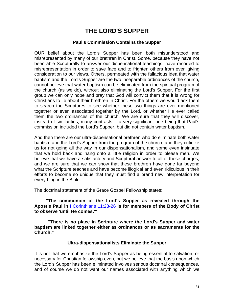# **THE LORD'S SUPPER**

#### **Paul's Commission Contains the Supper**

OUR belief about the Lord's Supper has been both misunderstood and misrepresented by many of our brethren in Christ. Some, because they have not been able Scripturally to answer our dispensational teachings, have resorted to misrepresentation in order to save face and to frighten others from even giving consideration to our views. Others, permeated with the fallacious idea that water baptism and the Lord's Supper are the two inseparable ordinances of the church, cannot believe that water baptism can be eliminated from the spiritual program of the church (as we do), without also eliminating the Lord's Supper. For the first group we can only hope and pray that God will convict them that it is wrong for Christians to lie about their brethren in Christ. For the others we would ask them to search the Scriptures to see whether these two things are ever mentioned together or even associated together by the Lord, or whether He ever called them the two ordinances of the church. We are sure that they will discover, instead of similarities, many contrasts -- a very significant one being that Paul's commission included the Lord's Supper, but did not contain water baptism.

And then there are our ultra-dispensational brethren who do eliminate both water baptism and the Lord's Supper from the program of the church, and they criticize us for not going all the way in our dispensationalism, and some even insinuate that we hold back and hang onto a little religion in order to please men. We believe that we have a satisfactory and Scriptural answer to all of these charges, and we are sure that we can show that these brethren have gone far beyond what the Scripture teaches and have become illogical and even ridiculous in their efforts to become so unique that they must find a brand new interpretation for everything in the Bible.

The doctrinal statement of the Grace Gospel Fellowship states:

 **"The communion of the Lord's Supper as revealed through the Apostle Paul in** I Corinthians 11:23-26 **is for members of the Body of Christ to observe 'until He comes."'**

**"There is no place in Scripture where the Lord's Supper and water baptism are linked together either as ordinances or as sacraments for the Church."**

#### **Ultra-dispensationalists Eliminate the Supper**

It is not that we emphasize the Lord's Supper as being essential to salvation, or necessary for Christian fellowship even, but we believe that the basis upon which the Lord's Supper has been eliminated involves serious doctrinal consequences, and of course we do not want our names associated with anything which we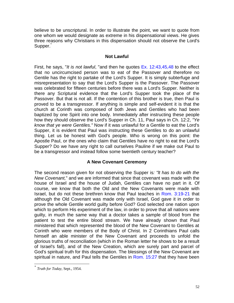believe to be unscriptural. In order to illustrate the point, we want to quote from one whom we would designate as extreme in his dispensational views. He gives three reasons why Christians in this dispensation should not observe the Lord's Supper.

#### **Not Lawful**

First, he says, "*It is not lawful*, "and then he quotes Ex. 12:43,45,48 to the effect that no uncircumcised person was to eat of the Passover and therefore no Gentile has the right to partake of the Lord's Supper. It is simply subterfuge and misrepresentation to say that the Lord's Supper is the Passover. The Passover was celebrated for fifteen centuries before there was a Lord's Supper. Neither is there any Scriptural evidence that the Lord's Supper took the place of the Passover. But that is not all. If the contention of this brother is true, then Paul is proved to be a transgressor. If anything is simple and self-evident it is that the church at Corinth was composed of both Jews and Gentiles who had been baptized by one Spirit into one body. Immediately after instructing these people how they should observe the Lord's Supper in Ch. 11, Paul says in Ch. 12:2, *"Ye know that ye were Gentiles."* Now if it was unlawful for a Gentile to eat the Lord's Supper, it is evident that Paul was instructing these Gentiles to do an unlawful thing. Let us be honest with God's people. Who is wrong on this point: the Apostle Paul, or the ones who claim that Gentiles have no right to eat the Lord's Supper? Do we have any right to call ourselves Pauline if we make out Paul to be a transgressor and instead follow some twentieth century teacher?

#### **A New Covenant Ceremony**

The second reason given for not observing the Supper is*: "lt has to do with the New Covenant,*" and we are informed that since that covenant was made with the house of Israel and the house of Judah, Gentiles can have no part in it. Of course, we know that both the Old and the New Covenants were made with Israel, but do not these brethren know that Paul teaches in Rom. 3:19-21 that although the Old Covenant was made only with Israel, God gave it in order to prove the whole Gentile world guilty before God? God selected one nation upon which to perform His experiment of the law, in order to prove that all nations were guilty, in much the same way that a doctor takes a sample of blood from the patient to test the entire blood stream. We have already shown that Paul ministered that which represented the blood of the New Covenant to Gentiles at Corinth who were members of the Body of Christ. In 2 Corinthians Paul calls himself an able minister of the New Covenant and proceeds to unfold the glorious truths of reconciliation (which in the Roman letter he shows to be a result of Israel's fall), and of the New Creation, which are surely part and parcel of God's spiritual truth for this dispensation. The blessings of the New Covenant are spiritual in nature, and Paul tells the Gentiles in Rom. 15:27 that they have been

 $\overline{a}$ 

*<sup>\*</sup> Truth for Today,* Sept., 1954.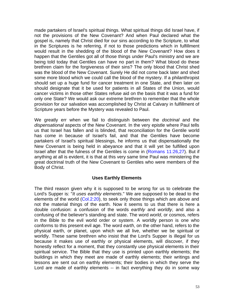made partakers of lsrael's spiritual things. What spiritual things did Israel have, if not the provisions of the New Covenant? And when Paul declared what the gospel is, namely that Christ died for our sins according to the Scripture, to what in the Scriptures is he referring, if not to those predictions which in fulfillment would result in the shedding of the blood of the New Covenant? How does it happen that the Gentiles got all of those things under Paul's ministry and we are being told today that Gentiles can have no part in them? What blood do these brethren claim for the forgiveness of their sins? The only blood that Christ shed was the blood of the New Covenant. Surely He did not come back later and shed some more blood which we could call the blood of the mystery. If a philanthropist should set up a huge fund for cancer treatment in one State, and then later on should designate that it be used for patients in all States of the Union, would cancer victims in those other States refuse aid on the basis that it was a fund for only one State? We would ask our extreme brethren to remember that the whole provision for our salvation was accomplished by Christ at Calvary in fulfillment of Scripture years before the Mystery was revealed to Paul.

We greatly err when we fail to distinguish between the *doctrinal* and the *dispensational* aspects of the New Covenant. In the very epistle where Paul tells us that Israel has fallen and is blinded, that reconciliation for the Gentile world has come in because of Israel's fail, and that the Gentiles have become partakers of Israel's spiritual blessings, he informs us that dispensationally the New Covenant is being held in abeyance and that it will yet be fulfilled upon Israel after that the fulness of the Gentiles is come in (Romans 11:26,27). But if anything at all is evident, it is that at this very same time Paul was ministering the great doctrinal truth of the New Covenant to Gentiles who were members of the Body of Christ.

#### **Uses Earthly Elements**

The third reason given why it is supposed to be wrong for us to celebrate the Lord's Supper is: "*It uses earthly elements*." We are supposed to be dead to the elements of the world (Col.2:20), to seek only those things which are above and not the material things of the earth. Now it seems to us that there is here a double confusion: a confusion of the words *earthly* and *worldly*, and also a confusing of the believer's standing and state. The word *world*, or cosmos, refers in the Bible to the evil world order or system. A worldly person is one who conforms to this present evil age. The word *earth*, on the other hand, refers to the physical earth, or planet, upon which we all live, whether we be spiritual or worldly. These same brethren who insist that the Lord's Supper is illegal for us because it makes use of earthly or physical elements, will discover, if they honestly reflect for a moment, that they constantly use physical elements in their spiritual service. The Bible that they use is printed upon earthly elements; the buildings in which they meet are made of earthly elements; their writings and lessons are sent out on earthly elements; their bodies in which they serve the Lord are made of earthly elements -- in fact everything they do in some way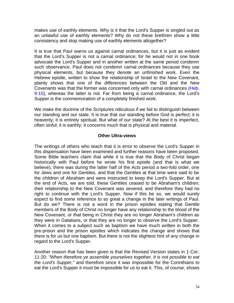makes use of earthly elements. Why is it that the Lord's Supper is singled out as an unlawful use of earthly elements? Why do not these brethren show a little consistency and stop making use of earthly elements altogether?

It is true that Paul warns us against carnal ordinances, but it is just as evident that the Lord's Supper is not a carnal ordinance; for he would not in one book advocate the Lord's Supper and in another written at the same period condemn such observance. Paul does not condemn carnal ordinances because they use physical elements, but because they denote an unfinished work. Even the Hebrew epistle, written to show the relationship of Israel to the New Covenant, plainly shows that one of the differences between the Old and the New Covenants was that the former was concerned only with carnal ordinances (Heb. 9:10), whereas the latter is not. Far from being a carnal ordinance, the Lord's Supper is the commemoration of a completely finished work.

We make the doctrine of the Scriptures ridiculous if we fail to distinguish between our standing and our state. It is true that our standing before God is perfect; it is heavenly; it is entirely spiritual. But what of our state? At the best it is imperfect, often sinful; it is earthly; it concerns much that is physical and material.

#### **Other Ultra-views**

The writings of others who teach that it is error to observe the Lord's Supper in this dispensation have been examined and further reasons have been proposed. Some Bible teachers claim that while it is true that the Body of Christ began historically with Paul before he wrote his first epistle (and that is what we believe), there was during the latter half of the Acts period a two-fold order, one for Jews and one for Gentiles, and that the Gentiles at that time were said to be the children of Abraham and were instructed to keep the Lord's Supper. But at the end of Acts, we are told, these Gentiles ceased to be Abraham's children; their relationship to the New Covenant was severed, and therefore they had no right to continue with the Lord's Supper. Now if this be so, we would surely expect to find some reference to so great a change in the later writings of Paul. But do we? There is not a word in the prison epistles stating that Gentile members of the Body of Christ no longer have any relationship to the blood of the New Covenant, or that being in Christ they are no longer Abraham's children as they were in Galatians, or that they are no longer to observe the Lord's Supper. When it comes to a subject such as baptism we have much written in both the pre-prison and the prison epistles which indicates the change and shows that there is for us but one baptism. But there is not the slightest hint of any change in regard to the Lord's Supper.

Another reason that has been given is that the Revised Version states in 1 Cor. 11:20: *"When therefore ye assemble yourselves together, it is not possible to eat the Lord's Supper,"* and therefore since it was impossible for the Corinthians to eat the Lord's Supper it must be impossible for us to eat it. This, of course, shows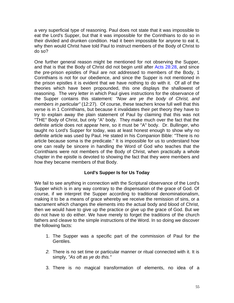a very superficial type of reasoning. Paul does not state that it was impossible to eat the Lord's Supper, but that it was impossible for the Corinthians to do so in their divided and drunken condition. Had it been impossible for anyone to eat it, why then would Christ have told Paul to instruct members of the Body of Christ to do so?

One further general reason might be mentioned for not observing the Supper, and that is that the Body of Christ did not begin until after Acts 28:28, and since the pre-prison epistles of Paul are not addressed to members of the Body, 1 Corinthians is not for our obedience, and since the Supper is not mentioned in the prison epistles it is evident that we have nothing to do with it. Of all of the theories which have been propounded, this one displays the shallowest of reasoning. The very letter in which Paul gives instructions for the observance of the Supper contains this statement*: "Now are ye the body of Christ, and members in particular"* (12:27). Of course, these teachers know full well that this verse is in 1 Corinthians, but because it invalidates their pet theory they have to try to explain away the plain statement of Paul by claiming that this was not "THE" Body of Christ, but only "A" body. They make much over the fact that the definite article does not appear here, so it must be "A" body. Dr. Bullinger, who taught no Lord's Supper for today, was at least honest enough to show why no definite article was used by Paul. He stated in his Companion Bible: "There is no article because soma is the predicate." It is impossible for us to understand how one can really be sincere in handling the Word of God who teaches that the Corinthians were not members of the Body of Christ, when practically a whole chapter in the epistle is devoted to showing the fact that they were members and how they became members of that Body.

#### **Lord's Supper Is for Us Today**

We fail to see anything in connection with the Scriptural observance of the Lord's Supper which is in any way contrary to the dispensation of the grace of God. Of course, if we interpret the Supper according to traditional denominationalism, making it to be a means of grace whereby we receive the remission of sins, or a sacrament which changes the elements into the actual body and blood of Christ, then we would have to give up the practice or give up the grace of God. But we do not have to do either. We have merely to forget the traditions of the church fathers and cleave to the simple instructions of the Word. In so doing we discover the following facts:

- 1. The Supper was a specific part of the commission of Paul for the Gentiles.
- *2.* There is no set time or particular manner or ritual connected with it. It is simply, *"As oft as ye do this."*
- 3. There is no magical transformation of elements, no idea of a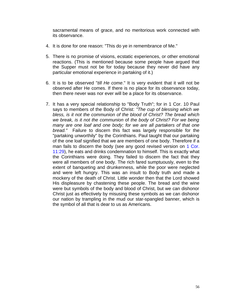sacramental means of grace, and no meritorious work connected with its observance.

- 4. It is done for one reason: "This do ye in remembrance of Me."
- 5. There is no promise of visions, ecstatic experiences, or other emotional reactions. (This is mentioned because some people have argued that the Supper must not be for today because they never did have any particular emotional experience in partaking of it.)
- 6. It is to be observed "*till He come*." It is very evident that it will not be observed after He comes. If there is no place for its observance today, then there never was nor ever will be a place for its observance.
- 7. It has a very special relationship to "Body Truth"; for in 1 Cor. 10 Paul says to members of the Body of Christ: *"The cup of blessing which we bless, is it not the communion of the blood of Christ? The bread which we break, is it not the communion* of *the body of Christ? For we being many are one loaf and one body; for we are all partakers of that one bread."* Failure to discern this fact was largely responsible for the "partaking unworthily" by the Corinthians. Paul taught that our partaking of the one loaf signified that we are members of one body. Therefore if a man fails to discern the body (see any good revised version on 1 Cor. 11:29), he eats and drinks condemnation to himself. This is exactly what the Corinthians were doing. They failed to discern the fact that they were all members of one body. The rich fared sumptuously, even to the extent of banqueting and drunkenness, while the poor were neglected and were left hungry. This was an insult to Body truth and made a mockery of the death of Christ. Little wonder then that the Lord showed His displeasure by chastening these people. The bread and the wine were but symbols of the body and blood of Christ, but we can dishonor Christ just as effectively by misusing these symbols as we can dishonor our nation by trampling in the mud our star-spangled banner, which is the symbol of all that is dear to us as Americans.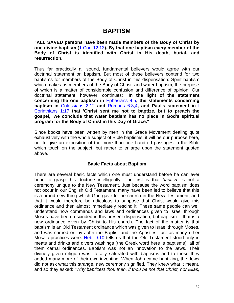### **BAPTISM**

**"ALL SAVED persons have been made members of the Body of Christ by one divine baptism (**1 Cor. 12:13**). By that one baptism every member of the Body of Christ is identified with Christ in His death, burial, and resurrection."**

Thus far practically all sound, fundamental believers would agree with our doctrinal statement on baptism. But most of these believers contend for two baptisms for members of the Body of Christ in this dispensation: Spirit baptism which makes us members of the Body of Christ, and water baptism, the purpose of which is a matter of considerable confusion and difference of opinion. Our doctrinal statement, however, continues: **"In the light of the statement concerning the one baptism in** Ephesians 4:5**, the statements concerning baptism in** Colossians 2:12 **and** Romans 6:3,4**, and Paul's statement in** I Corinthians 1:17 **that 'Christ sent me not to baptize, but to preach the gospel,' we conclude that water baptism has no place in God's spiritual program for the Body of Christ in this Day of Grace."**

Since books have been written by men in the Grace Movement dealing quite exhaustively with the whole subject of Bible baptisms, it will be our purpose here, not to give an exposition of the more than one hundred passages in the Bible which touch on the subject, but rather to enlarge upon the statement quoted above.

#### **Basic Facts about Baptism**

There are several basic facts which one must understand before he can ever hope to grasp this doctrine intelligently. The first is that *baptism* is not a ceremony unique to the New Testament. Just because the word baptism does not occur in our English Old Testament, many have been led to believe that this is a brand new thing which God gave to the church in the New Testament, and that it would therefore be ridiculous to suppose that Christ would give this ordinance and then almost immediately rescind it. These same people can well understand how commands and laws and ordinances given to Israel through Moses have been rescinded in this present dispensation, but baptism -- that is a new ordinance given by Christ to His church. The fact of the matter is that baptism is an Old Testament ordinance which was given to Israel through Moses, and was carried on by John the Baptist and the Apostles, just as many other Mosaic practices were. Heb. 9:10 tells us that the Old Testament stood only in meats and drinks and divers washings (the Greek word here is baptisms), all of them carnal ordinances. Baptism was not an innovation to the Jews. Their divinely given religion was literally saturated with baptisms and to these they added many more of their own inventing. When John came baptizing, the Jews did not ask what this strange, new ceremony signified. They knew what it meant, and so they asked: "*Why baptizest thou then, if thou be not that Christ, nor Elias,*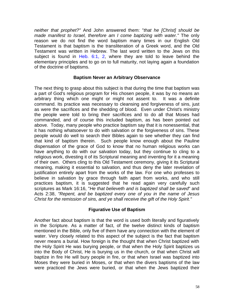*neither that prophet?"* And John answered them: "*that he [Christ] should be made manifest to Israel, therefore am I come baptizing with water."* The only reason we do not find the word baptism many times in our English Old Testament is that baptism is the transliteration of a Greek word, and the Old Testament was written in Hebrew. The last word written to the Jews on this subject is found in Heb. 6:1, 2, where they are told to leave behind the elementary principles and to go on to full maturity, not laying again a foundation of the doctrine of baptisms.

#### **Baptism Never an Arbitrary Observance**

The next thing to grasp about this subject is that during the time that baptism was a part of God's religious program for His chosen people, it was by no means an arbitrary thing which one might or might not assent to. It was a definite command. Its practice was necessary to cleansing and forgiveness of sins, just as were the sacrifices and the shedding of blood. Even under Christ's ministry the people were told to bring their sacrifices and to do all that Moses had commanded, and of course this included baptism, as has been pointed out above. Today, many people who practice baptism say that it is nonessential, that it has nothing whatsoever to do with salvation or the forgiveness of sins. These people would do well to search their Bibles again to see whether they can find that kind of baptism therein. Such people know enough about the Pauline dispensation of the grace of God to know that no human religious works can have anything to do with our salvation today, but they continue to cling to a religious work, divesting it of its Scriptural meaning and inventing for it a meaning of their own. Others cling to this Old Testament ceremony, giving it its Scriptural meaning, making it essential to salvation, and thus deny the later revelation of justification entirely apart from the works of the law. For one who professes to believe in salvation by grace through faith apart from works, and who still practices baptism, it is suggested that he read again very carefully such scriptures as Mark 16:16, "*He that believeth and is baptized shall be saved*" and Acts 2:38, *"Repent, and be baptized every one of you in the name of Jesus Christ for the remission of sins, and ye shall receive the gift of the Holy Spirit."*

#### **Figurative Use of Baptism**

Another fact about baptism is that the word is used both literally and figuratively in the Scripture. As a matter of fact, of the twelve distinct kinds of baptism mentioned in the Bible, only five of them have any connection with the element of water. Very closely related to this aspect of the subject is the fact that baptism never means a burial. How foreign is the thought that when Christ baptized with the Holy Spirit He was burying people, or that when the Holy Spirit baptizes us into the Body of Christ, He is burying us in the church, or that when Christ will baptize in fire He will bury people in fire, or that when Israel was baptized into Moses they were buried in Moses, or that when the divers baptisms of the law were practiced the Jews were buried, or that when the Jews baptized their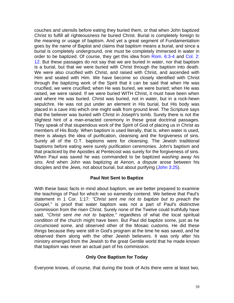couches and utensils before eating they buried them, or that when John baptized Christ to fulfill all righteousness he buried Christ. Burial is completely foreign to the meaning or usage of baptism. And yet a great segment of Fundamentalism goes by the name of Baptist and claims that baptism means a burial, and since a burial is completely underground, one must be completely immersed in water in order to be baptized. Of course, they get this idea from Rom. 6:3-4 and Col. 2: 12. But these passages do not say that we are buried in water, nor that baptism is a burial, but that we were buried with Christ through the baptism into death. We were also crucified with Christ, and raised with Christ, and ascended with Him and seated with Him. We have become so closely identified with Christ through the baptizing work of the Spirit that it can be said that when He was crucified, we were crucified; when He was buried, we were buried; when He was raised, we were raised. If we were buried WITH Christ, it must have been when and where He was buried. Christ was buried, not in water, but in a rock-hewn sepulchre. He was not put under an element in His burial, but His body was placed in a cave into which one might walk from ground level. The Scripture says that the believer was buried with Christ in Joseph's tomb. Surely there is not the slightest hint of a man-enacted ceremony in these great doctrinal passages. They speak of that stupendous work of the Spirit of God of placing us in Christ as members of His Body. When baptism is used literally, that is, when water is used, there is always the idea of purification, cleansing and the forgiveness of sins. Surely all of the O.T. baptisms were for cleansing. The Jewish traditional baptisms before eating were surely purification ceremonies. John's baptism and that practiced by the Apostles at Pentecost was surely for the forgiveness of sins. When Paul was saved he was commanded to be baptized *washing away his sins.* And when John was baptizing at Aenon, a dispute arose between his disciples and the Jews, not about burial, but about purifying (John 3:25).

#### **Paul Not Sent to Baptize**

With these basic facts in mind about baptism, we are better prepared to examine the teachings of Paul for which we so earnestly contend. We believe that Paul's statement in 1 Cor. 1:17*: "Christ sent me not to baptize but to preach the Gospel,"* is proof that water baptism was not a part of Paul's distinctive commission from the risen Christ. Surely none of the Twelve could truthfully have said, "*Christ sent me not to baptize,"* regardless of what the local spiritual condition of the church might have been. But Paul did baptize some, just as he circumcised some, and observed other of the Mosaic customs. He did these things because they were still in God's program at the time he was saved, and he observed them along with the other Jewish believers. It was only after his ministry emerged from the Jewish to the great Gentile world that he made known that baptism was never an actual part of his commission.

#### **Only One Baptism for Today**

Everyone knows, of course, that during the book of Acts there were at least two,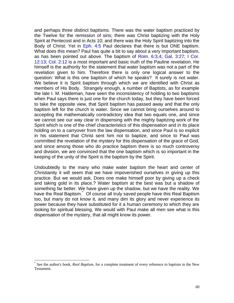and perhaps three distinct baptisms. There was the water baptism practiced by the Twelve for the remission of sins; there was Christ baptizing with the Holy Spirit at Pentecost and in Acts 10; and there was the Holy Spirit baptizing into the Body of Christ. Yet in Eph. 4:5 Paul declares that there is but ONE baptism. What does this mean? Paul has quite a bit to say about a very important baptism, as has been pointed out above. The baptism of Rom. 6:3,4; Gal. 3:27; I Cor. 12:13; Col. 2:12 is a most important and basic truth of the Pauline revelation. He himself is the authority for the statement that water baptism was not a part of the revelation given to him. Therefore there is only one logical answer to the question: What is this one baptism of which he speaks? It surely is not water. We believe it is Spirit baptism through which we are identified with Christ as members of His Body. Strangely enough, a number of Baptists, as for example the late I. M. Haldeman, have seen the inconsistency of holding to two baptisms when Paul says there is just one for the church today, but they have been forced to take the opposite view, that Spirit baptism has passed away and that the only baptism left for the church is water. Since we cannot bring ourselves around to accepting the mathematically contradictory idea that two equals one, and since we cannot see our way clear in dispensing with the mighty baptizing work of the Spirit which is one of the chief characteristics of this dispensation and in its place holding on to a carryover from the law dispensation, and since Paul is so explicit in his statement that Christ sent him not to baptize, and since to Paul was committed the revelation of the mystery for this dispensation of the grace of God, and since among those who do practice baptism there is so much controversy and division, we are convinced that the one baptism which is so important in the keeping of the unity of the Spirit is the baptism by the Spirit.

Undoubtedly to the many who make water baptism the heart and center of Christianity it will seem that we have impoverished ourselves in giving up this practice. But we would ask, Does one make himself poor by giving up a check and taking gold in its place.? Water baptism at the best was but a shadow of something far better. We have given up the shadow, but we have the reality. We have the Real Baptism. Of course all truly saved people have this Real Baptism too, but many do not know it, and many dim its glory and never experience its power because they have substituted for it a human ceremony to which they are looking for spiritual blessing. We would with Paul make all men see what is this dispensation of the mystery, that all might know its power.

 $\overline{a}$ 

<sup>\*</sup> See the author's book, *Real Baptism*, for a complete treatment of every reference to baptism in the New Testament.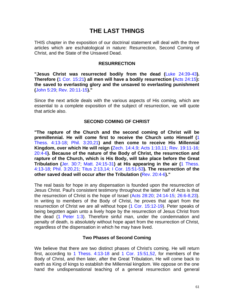# **THE LAST THINGS**

THIS chapter in the exposition of our doctrinal statement will deal with the three articles which are eschatological in nature: Resurrection, Second Coming of Christ, and the State of the Unsaved Dead.

#### **RESURRECTION**

**"Jesus Christ was resurrected bodily from the dead (**Luke 24:39-43**). Therefore (**1 Cor. 15:21**) all men will have a bodily resurrection (**Acts 24:15**): the saved to everlasting glory and the unsaved to everlasting punishment (**John 5:29; Rev. 20:11-15**)."**

Since the next article deals with the various aspects of His coming, which are essential to a complete exposition of the subject of resurrection, we will quote that article also.

#### **SECOND COMING OF CHRIST**

**"The rapture of the Church and the second coming of Christ will be premillennial. He will come first to receive the Church unto Himself (**1 Thess. 4:13-18; Phil. 3:20,21**) and then come to receive His Millennial Kingdom, over which He will reign (**Zech. 14:4,9; Acts 1:10,11; Rev. 19:11-16; 20:4-6**). Because of the nature of the Body of Christ, the resurrection and rapture of the Church, which is His Body, will take place before the Great Tribulation (**Jer. 30:7; Matt. 24:15-31**) at His appearing in the air (**1 Thess. 4:13-18; Phil. 3:20,21; Titus 2:13,14; I Cor. 15:51-53**). The resurrection of the other saved dead will occur after the Tribulation (**Rev. 20:4-6**)."**

The real basis for hope in any dispensation is founded upon the resurrection of Jesus Christ. Paul's consistent testimony throughout the latter half of Acts is that the resurrection of Christ is the hope of Israel (Acts 28:20; 24:14-15; 26:6-8,23). In writing to members of the Body of Christ, he proves that apart from the resurrection of Christ we are all without hope (1 Cor. 15:12-19). Peter speaks of being begotten again unto a lively hope by the resurrection of Jesus Christ from the dead (1 Peter 1:3). Therefore sinful man, under the condemnation and penalty of death, is absolutely without hope apart from the resurrection of Christ, regardless of the dispensation in which he may have lived.

#### **Two Phases of Second Coming**

We believe that there are two distinct phases of Christ's coming. He will return first, according to 1 Thess. 4:13-18 and 1 Cor. 15:51,52, for members of the Body of Christ, and then later, after the Great Tribulation, He will come back to earth as King of kings to establish the Millennial kingdom. We oppose on the one hand the undispensational teaching of a general resurrection and general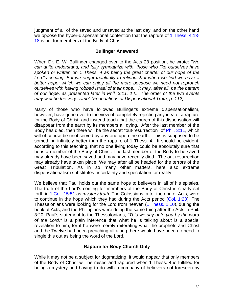judgment of all of the saved and unsaved at the last day, and on the other hand we oppose the hyper-dispensational contention that the rapture of 1 Thess. 4:13-18 is not for members of the Body of Christ.

#### **Bullinger Answered**

When Dr. E. W. Bullinger changed over to the Acts 28 position, he wrote: *"We can quite understand, and fully sympathize with, those who like ourselves have spoken or written on 1 Thess. 4 as being the great charter of our hope of the Lord's coming. But we ought thankfully to relinquish it when we find we have a better hope; which we can enjoy all the more because we need not reproach ourselves with having robbed Israel of their hope... It may, after all, be the pattern of our hope, as presented later in Phil. 3:11, 14... The order of the two events may well be the very same" (Foundations of Dispensational Truth, p. 112).*

Many of those who have followed Bullinger's extreme dispensationalism, however, have gone over to the view of completely rejecting any idea of a rapture for the Body of Christ, and instead teach that the church of this dispensation will disappear from the earth by its members all dying. After the last member of the Body has died, then there will be the secret "out-resurrection" of Phil. 3:11, which will of course be unobserved by any one upon the earth. This is supposed to be something infinitely better than the rapture of 1 Thess. 4. It should be evident, according to this teaching, that no one living today could be absolutely sure that he is a member of the Body of Christ. The last member of the Body to be saved may already have been saved and may have recently died. The out-resurrection may already have taken place. We may after all be headed for the terrors of the Great Tribulation. As in so many other matters, here also extreme dispensationalism substitutes uncertainty and speculation for reality.

We believe that Paul holds out the same hope to believers in all of his epistles. The truth of the Lord's coming for members of the Body of Christ is clearly set forth in 1 Cor. 15:51 as *mystery truth*. The Colossians, after the end of Acts, were to continue in the hope which they had during the Acts period (Col. 1:23). The Thessalonians were looking for the Lord from heaven (1 Thess. 1:10), during the book of Acts, and the Philippians were doing the same thing after the Acts in Phil. 3:20. Paul's statement to the Thessalonians, *"This we say unto you by the word of the Lord,"* is a plain inference that what he is talking about is a special revelation to him; for if he were merely reiterating what the prophets and Christ and the Twelve had been preaching all along there would have been no need to single this out as being the word of the Lord.

#### **Rapture for Body Church Only**

While it may not be a subject for dogmatizing, it would appear that only members of the Body of Christ will be raised and raptured when 1 Thess. 4 is fulfilled for being a mystery and having to do with a company of believers not foreseen by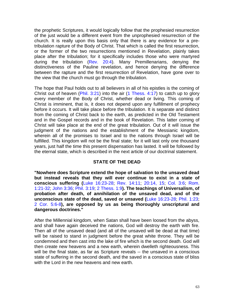the prophetic Scriptures, it would logically follow that the prophesied resurrection of the just would be a different event from the unprophesied resurrection of the church. It is really upon this basis only that there is any evidence for a pretribulation rapture of the Body of Christ. That which is called the first resurrection, or the former of the two resurrections mentioned in Revelation, plainly takes place after the tribulation; for it specifically includes those who were martyred during the tribulation (Rev. 20:4). Many Premillenarians, denying the distinctiveness of the Pauline revelation, and hence denying the difference between the rapture and the first resurrection of Revelation, have gone over to the view that the church must go through the tribulation.

The hope that Paul holds out to all believers in all of his epistles is the coming of Christ out of heaven (Phil. 3:21) into the air (1 Thess. 4:17) to catch up to glory every member of the Body of Christ, whether dead or living. This coming of Christ is imminent, that is, it does not depend upon any fulfillment of prophecy before it occurs. It will take place before the tribulation. It is separate and distinct from the coming of Christ back to the earth, as predicted in the Old Testament and in the Gospel records and in the book of Revelation. This latter coming of Christ will take place at the end of the great tribulation. Out of it will issue the judgment of the nations and the establishment of the Messianic kingdom, wherein all of the promises to Israel and to the nations through Israel will be fulfilled. This kingdom will not be the final state; for it will last only one thousand years, just half the time this present dispensation has lasted. It will be followed by the eternal state, which is described in the next article of our doctrinal statement.

#### **STATE OF THE DEAD**

**"Nowhere does Scripture extend the hope of salvation to the unsaved dead but instead reveals that they will ever continue to exist in a state of conscious suffering (**Luke 16:23-28; Rev. 14:11; 20:14, 15; Col. 3:6; Rom. 1:21-32; John 3:36; Phil. 3:19; 2 Thess. 1:9**). The teachings of Universalism, of probation after death, of annihilation of the unsaved dead, and of the unconscious state of the dead, saved or unsaved (**Luke 16:23-28; Phil. 1:23; 2 Cor. 5:6-8**), are opposed by us as being thoroughly unscriptural and dangerous doctrines."**

After the Millennial kingdom, when Satan shall have been loosed from the abyss, and shall have again deceived the nations, God will destroy the earth with fire. Then all of the unsaved dead (and all of the unsaved will be dead at that time) will be raised to stand in judgment before the great white throne. They will be condemned and then cast into the lake of fire which is the second death. God will then create new heavens and a new earth, wherein dwelleth righteousness. This will be the final state, as far as Scripture reveals -- the unsaved in a conscious state of suffering in the second death, and the saved in a conscious state of bliss with the Lord in the new heavens and new earth.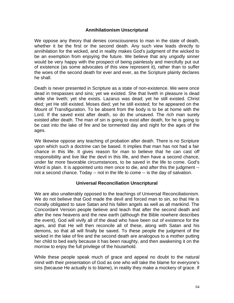#### **Annihilationism Unscriptural**

We oppose any theory that denies consciousness to man in the state of death, whether it be the first or the second death. Any such view leads directly to annihilation for the wicked, and in reality makes God's judgment of the wicked to be an exemption from enjoying the future. We believe that any ungodly sinner would be very happy with the prospect of being painlessly and mercifully put out of existence (as some advocates of this view represent it), rather than to suffer the woes of the second death for ever and ever, as the Scripture plainly declares he shall.

Death is never presented in Scripture as a state of non-existence. We were once dead in trespasses and sins; yet we existed. She that liveth in pleasure is dead while she liveth; yet she exists. Lazarus was dead; yet he still existed. Christ died; yet He still existed. Moses died; yet he still existed; for he appeared on the Mount of Transfiguration. To be absent from the body is to be at home with the Lord. If the saved exist after death, so do the unsaved. The rich man surely existed after death. The man of sin is going to exist after death, for he is going to be cast into the lake of fire and be tormented day and night for the ages of the ages.

We likewise oppose any teaching of probation after death. There is no Scripture upon which such a doctrine can be based. It implies that man has not had a fair chance in this life. It gives reason for man to believe that he can cast off responsibility and live like the devil in this life, and then have a second chance, under far more favorable circumstances, to be saved in the life to come. God's Word is plain. It is appointed unto men once to die, and after this the judgment - not a second chance. Today -- not in the life to come -- is the day of salvation.

#### **Universal Reconciliation Unscriptural**

We are also unalterably opposed to the teachings of Universal Reconciliationism. We do not believe that God made the devil and forced man to sin, so that He is morally obligated to save Satan and his fallen angels as well as all mankind. The Concordant Version people believe and teach that after the second death and after the new heavens and the new earth (although the Bible nowhere describes the event), God will vivify all of the dead who have been out of existence for the ages, and that He will then reconcile all of these, along with Satan and his demons, so that all will finally be saved. To these people the judgment of the wicked in the lake of fire and the second death are analogous to a mother putting her child to bed early because it has been naughty, and then awakening it on the morrow to enjoy the full privilege of the household.

While these people speak much of grace and appeal no doubt to the natural mind with their presentation of God as one who will take the blame for everyone's sins (because He actually is to blame), in reality they make a mockery of grace. If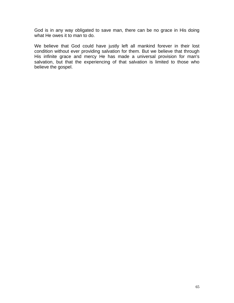God is in any way obligated to save man, there can be no grace in His doing what He owes it to man to do.

We believe that God could have justly left all mankind forever in their lost condition without ever providing salvation for them. But we believe that through His infinite grace and mercy He has made a universal provision for man's salvation, but that the experiencing of that salvation is limited to those who believe the gospel.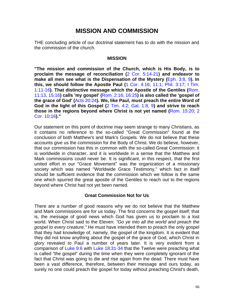# **MISSION AND COMMISSION**

THE concluding article of our doctrinal statement has to do with the mission and the commission of the church.

#### **MISSION**

**"The mission and commission of the Church, which is His Body, is to proclaim the message of reconciliation (**2 Cor. 5:14-21**) and endeavor to make all men see what is the Dispensation of the Mystery (**Eph. 3:8, 9**). In this, we should follow the Apostle Paul (**1 Cor. 4:16; 11:1; Phil. 3:17; I Tim. 1:11-16**). That distinctive message which the Apostle of the Gentiles (**Rom. 11:13, 15:16**) calls 'my gospel' (**Rom. 2:16; 16:25**) is also called the 'gospel of the grace of God' (**Acts 20:24**). We, like Paul, must preach the entire Word of God in the light of this Gospel (**2 Tim. 4:2; Gal. 1:8, 9**) and strive to reach those in the regions beyond where Christ is not yet named (**Rom. 15:20; 2 Cor. 10:16**)."**

Our statement on this point of doctrine may seem strange to many Christians, as it contains no reference to the so-called "Great Commission" found at the conclusion of both Matthew's and Mark's Gospels. We do not believe that these accounts give us the commission for the Body of Christ. We do believe, however, that our commission has this in common with the so-called Great Commission: it is worldwide in character, and it is worldwide in a sense that the Matthew and Mark commissions could never be. It is significant, in this respect, that the first united effort in our "Grace Movement" was the organization of a missionary society which was named "Worldwide Grace Testimony," which fact in itself should be sufficient evidence that the commission which we follow is the same one which spurred the great apostle of the Gentiles to reach out to the regions beyond where Christ had not yet been named.

#### **Great Commission Not for Us**

There are a number of good reasons why we do not believe that the Matthew and Mark commissions are for us today. The first concerns the gospel itself; that is, the message of good news which God has given us to proclaim to a lost world. When Christ said to the Eleven: *"Go ye into all the world and preach the gospel to every creature,"* He must have intended them to preach the only gospel that they had knowledge of, namely, the gospel of the kingdom. It is evident that they did not know anything about the gospel of the grace of God, which Christ in glory revealed to Paul a number of years later. It is very evident from a comparison of Luke 9:6 with Luke 18:31-34 that the Twelve were preaching what is called "the gospel" during the time when they were completely ignorant of the fact that Christ was going to die and rise again from the dead. There must have been a vast difference, therefore, between their message and ours today, as surely no one could preach the gospel for today without preaching Christ's death,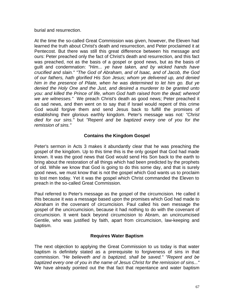burial and resurrection.

At the time the so-called Great Commission was given, however, the Eleven had learned the truth about Christ's death and resurrection, and Peter proclaimed it at Pentecost. But there was still this great difference between his message and ours: Peter preached only the fact of Christ's death and resurrection, and this fact was preached, not as the basis of a gospel or good news, but as the basis of guilt and condemnation: *"Him... ye have taken, and by wicked hands have crucified and slain." "The God of Abraham, and of lsaac, and of Jacob, the God of our fathers, hath glorified His Son Jesus; whom ye delivered up, and denied him in the presence of Pilate, when he was determined to let him go. But ye denied the Holy One and the Just, and desired a murderer to be granted unto you: and killed the Prince of life, whom God hath raised from the dead; whereof we are witnesses."* We preach Christ's death as good news; Peter preached it as sad news, and then went on to say that if Israel would repent of this crime God would forgive them and send Jesus back to fulfill the promises of establishing their glorious earthly kingdom. Peter's message was not*: "Christ died for our sins."* but *"Repent and be baptized every one of you for the remission of sins."*

#### **Contains the Kingdom Gospel**

Peter's sermon in Acts 3 makes it abundantly clear that he was preaching the gospel of the kingdom. Up to this time this is the only gospel that God had made known. It was the good news that God would send His Son back to the earth to bring about the restoration of all things which had been predicted by the prophets of old. While we know that God is going to do this some day, and that is surely good news, we must know that is not the gospel which God wants us to proclaim to lost men today. Yet it was the gospel which Christ commanded the Eleven to preach in the so-called Great Commission.

Paul referred to Peter's message as the gospel of the circumcision. He called it this because it was a message based upon the promises which God had made to Abraham in the covenant of circumcision. Paul called his own message the gospel of the uncircumcision, because it had nothing to do with the covenant of circumcision. It went back beyond circumcision to Abram, an uncircumcised Gentile, who was justified by faith, apart from circumcision, law-keeping and baptism.

#### **Requires Water Baptism**

The next objection to applying the Great Commission to us today is that water baptism is definitely stated as a prerequisite to forgiveness of sins in that commission. *"He believeth and is baptized, shall be saved." "Repent and be baptized every one of you in the name of Jesus Christ for the remission of sins..."*  We have already pointed out the that fact that repentance and water baptism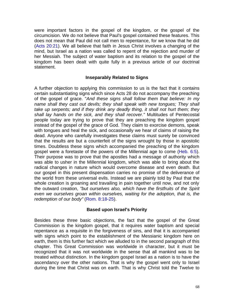were important factors in the gospel of the kingdom, or the gospel of the circumcision. We do not believe that Paul's gospel contained these features. This does not mean that Paul did not call men to repentance, for we know that he did (Acts 20:21). We all believe that faith in Jesus Christ involves a changing of the mind, but Israel as a nation was called to repent of the rejection and murder of her Messiah. The subject of water baptism and its relation to the gospel of the kingdom has been dealt with quite fully in a previous article of our doctrinal statement.

#### **Inseparably Related to Signs**

A further objection to applying this commission to us is the fact that it contains certain substantiating signs which since Acts 28 do not accompany the preaching of the gospel of grace. "*And these signs shall follow them that believe: In my name shall they cast out devils; they shall speak with new tongues; They shall take up serpents; and if they drink any deadly thing, it shall not hurt them; they shall lay hands on the sick, and they shall recover."* Multitudes of Pentecostal people today are trying to prove that they are preaching the kingdom gospel instead of the gospel of the grace of God. They claim to exorcise demons, speak with tongues and heal the sick, and occasionally we hear of claims of raising the dead. Anyone who carefully investigates these claims must surely be convinced that the results are but a counterfeit of the signs wrought by those in apostolic times. Doubtless these signs which accompanied the preaching of the kingdom gospel were a foretaste of the powers of the Millennial age to come (Heb. 6:5). Their purpose was to prove that the apostles had a message of authority which was able to usher in the Millennial kingdom, which was able to bring about the radical changes in nature which would overcome disease and even death. But our gospel in this present dispensation carries no promise of the deliverance of the world from these universal evils. Instead we are plainly told by Paul that the whole creation is groaning and travailing in pain together until now, and not only the outward creation, *"but ourselves also, which have the firstfruits of the Spirit even we ourselves groan within ourselves, waiting for the adoption, that is, the redemption of our body"* (Rom. 8:18-25).

#### **Based upon Israel's Priority**

Besides these three basic objections, the fact that the gospel of the Great Commission is the kingdom gospel, that it requires water baptism and special repentance as a requisite in the forgiveness of sins, and that it is accompanied with signs which point to the establishment of the Messianic kingdom here on earth, them is this further fact which we alluded to in the second paragraph of this chapter. This Great Commission was worldwide in character, but it must be recognized that it was not worldwide in the sense that all mankind was to be treated without distinction. In the kingdom gospel Israel as a nation is to have the ascendancy over the other nations. That is why the gospel went only to Israel during the time that Christ was on earth. That is why Christ told the Twelve to